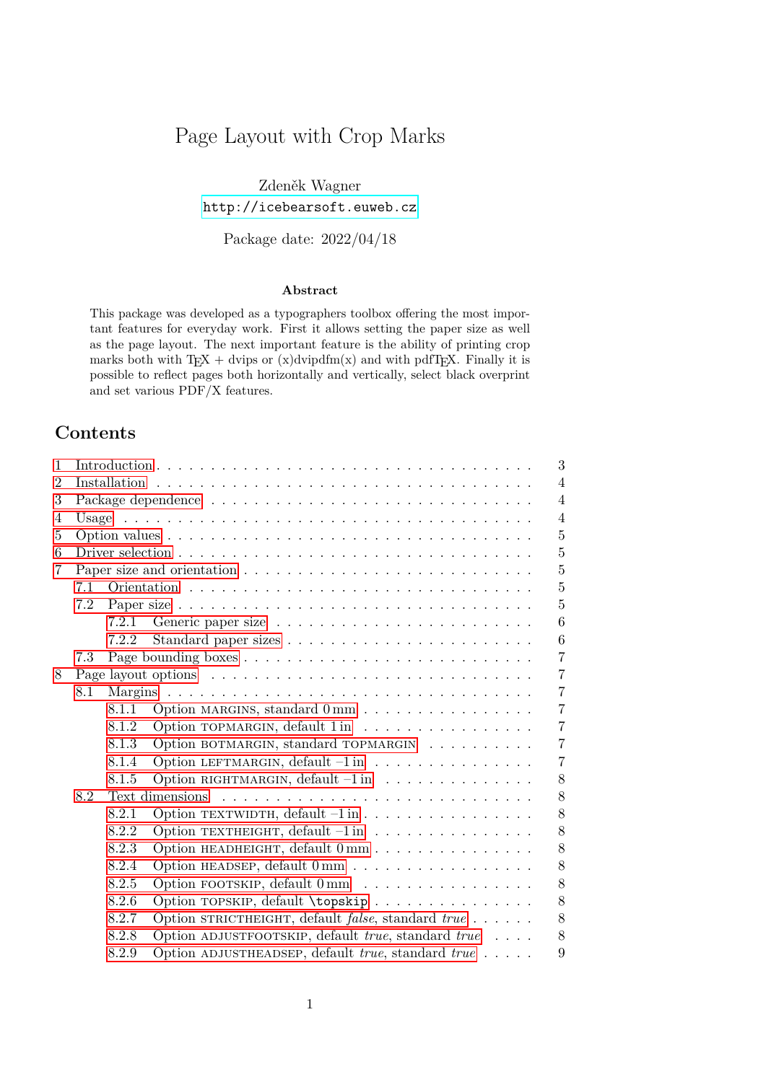# Page Layout with Crop Marks

Zdeněk Wagner <http://icebearsoft.euweb.cz>

Package date: 2022/04/18

#### **Abstract**

This package was developed as a typographers toolbox offering the most important features for everyday work. First it allows setting the paper size as well as the page layout. The next important feature is the ability of printing crop marks both with  $T_F X + \text{dvips or } (x) \text{dvipdfm}(x)$  and with pdfT<sub>F</sub>X. Finally it is possible to reflect pages both horizontally and vertically, select black overprint and set various PDF/X features.

# **Contents**

| 1              |       |       |                                                                                                 | 3               |
|----------------|-------|-------|-------------------------------------------------------------------------------------------------|-----------------|
| $\overline{2}$ |       |       |                                                                                                 | $\overline{4}$  |
| 3              |       |       |                                                                                                 | $\overline{4}$  |
| 4              | Usage |       |                                                                                                 | $\overline{4}$  |
| 5              |       |       |                                                                                                 | $\overline{5}$  |
| 6              |       |       | Driver selection $\ldots \ldots \ldots \ldots \ldots \ldots \ldots \ldots \ldots \ldots \ldots$ | 5               |
| 7              |       |       |                                                                                                 | $\overline{5}$  |
|                | 7.1   |       |                                                                                                 | 5               |
|                | 7.2   |       |                                                                                                 | $\overline{5}$  |
|                |       | 7.2.1 |                                                                                                 | 6               |
|                |       | 7.2.2 |                                                                                                 | $6\phantom{.}6$ |
|                | 7.3   |       |                                                                                                 | $\overline{7}$  |
| 8              |       |       |                                                                                                 | $\overline{7}$  |
|                | 8.1   |       |                                                                                                 | $\overline{7}$  |
|                |       | 8.1.1 | Option MARGINS, standard 0 mm                                                                   | $\overline{7}$  |
|                |       | 8.1.2 | Option TOPMARGIN, default 1 in                                                                  | $\overline{7}$  |
|                |       | 8.1.3 | Option BOTMARGIN, standard TOPMARGIN                                                            | $\overline{7}$  |
|                |       | 8.1.4 | Option LEFTMARGIN, default $-1$ in $\ldots \ldots \ldots \ldots \ldots$                         | $\overline{7}$  |
|                |       | 8.1.5 | Option RIGHTMARGIN, default -1 in                                                               | 8               |
|                | 8.2   |       | Text dimensions                                                                                 | 8               |
|                |       | 8.2.1 | Option TEXTWIDTH, default $-1$ in                                                               | 8               |
|                |       | 8.2.2 | Option TEXTHEIGHT, default $-1$ in                                                              | 8               |
|                |       | 8.2.3 | Option HEADHEIGHT, default $0\,\mathrm{mm}$                                                     | 8               |
|                |       | 8.2.4 |                                                                                                 | 8               |
|                |       | 8.2.5 | Option FOOTSKIP, default 0 mm                                                                   | 8               |
|                |       | 8.2.6 | Option TOPSKIP, default \topskip                                                                | 8               |
|                |       | 8.2.7 | Option STRICTHEIGHT, default <i>false</i> , standard $true \dots \dots$                         | 8               |
|                |       | 8.2.8 | Option ADJUSTFOOTSKIP, default <i>true</i> , standard <i>true</i> $\ldots$ .                    | 8               |
|                |       | 8.2.9 | Option ADJUSTHEADSEP, default $true$ , standard $true$                                          | 9               |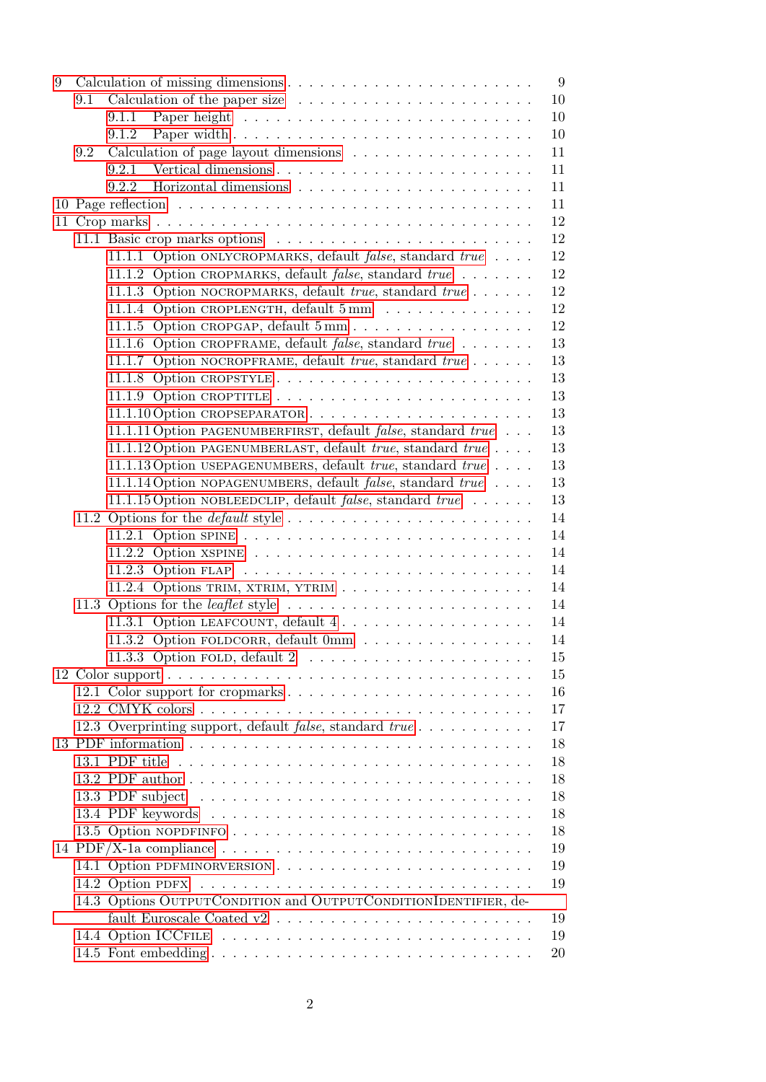| 9 |     |                                                                                                     | 9  |
|---|-----|-----------------------------------------------------------------------------------------------------|----|
|   | 9.1 | Calculation of the paper size $\ldots \ldots \ldots \ldots \ldots \ldots$                           | 10 |
|   |     | 9.1.1                                                                                               | 10 |
|   |     | 9.1.2                                                                                               | 10 |
|   | 9.2 | Calculation of page layout dimensions                                                               | 11 |
|   |     | 9.2.1                                                                                               | 11 |
|   |     | 9.2.2                                                                                               | 11 |
|   |     |                                                                                                     | 11 |
|   |     |                                                                                                     | 12 |
|   |     |                                                                                                     | 12 |
|   |     | 11.1.1 Option ONLYCROPMARKS, default <i>false</i> , standard true                                   | 12 |
|   |     | 11.1.2 Option CROPMARKS, default <i>false</i> , standard <i>true</i>                                | 12 |
|   |     | 11.1.3 Option NOCROPMARKS, default true, standard true                                              | 12 |
|   |     | 11.1.4 Option CROPLENGTH, default 5 mm                                                              | 12 |
|   |     |                                                                                                     | 12 |
|   |     | 11.1.6 Option CROPFRAME, default <i>false</i> , standard <i>true</i>                                | 13 |
|   |     | 11.1.7 Option NOCROPFRAME, default true, standard true                                              | 13 |
|   |     |                                                                                                     | 13 |
|   |     |                                                                                                     | 13 |
|   |     |                                                                                                     | 13 |
|   |     | 11.1.11 Option PAGENUMBERFIRST, default <i>false</i> , standard <i>true</i>                         | 13 |
|   |     | 11.1.12 Option PAGENUMBERLAST, default <i>true</i> , standard <i>true</i>                           | 13 |
|   |     | 11.1.13 Option USEPAGENUMBERS, default true, standard true                                          | 13 |
|   |     | 11.1.14 Option NOPAGENUMBERS, default <i>false</i> , standard <i>true</i>                           | 13 |
|   |     | 11.1.15 Option NOBLEEDCLIP, default <i>false</i> , standard <i>true</i>                             | 13 |
|   |     | 11.2 Options for the <i>default</i> style $\ldots \ldots \ldots \ldots \ldots \ldots \ldots \ldots$ | 14 |
|   |     |                                                                                                     | 14 |
|   |     |                                                                                                     | 14 |
|   |     |                                                                                                     | 14 |
|   |     |                                                                                                     | 14 |
|   |     | 11.3 Options for the <i>leaflet</i> style                                                           | 14 |
|   |     | 11.3.1 Option LEAFCOUNT, default 4                                                                  | 14 |
|   |     | 11.3.2 Option FOLDCORR, default 0mm                                                                 | 14 |
|   |     |                                                                                                     | 15 |
|   |     |                                                                                                     | 15 |
|   |     |                                                                                                     | 16 |
|   |     |                                                                                                     | 17 |
|   |     | 12.3 Overprinting support, default <i>false</i> , standard true                                     | 17 |
|   |     |                                                                                                     | 18 |
|   |     |                                                                                                     | 18 |
|   |     |                                                                                                     | 18 |
|   |     |                                                                                                     | 18 |
|   |     |                                                                                                     | 18 |
|   |     |                                                                                                     | 18 |
|   |     | 14 PDF/X-1a compliance $\ldots \ldots \ldots \ldots \ldots \ldots \ldots \ldots \ldots \ldots$      | 19 |
|   |     |                                                                                                     | 19 |
|   |     |                                                                                                     | 19 |
|   |     | 14.3 Options OUTPUTCONDITION and OUTPUTCONDITIONIDENTIFIER, de-                                     |    |
|   |     |                                                                                                     | 19 |
|   |     |                                                                                                     | 19 |
|   |     |                                                                                                     | 20 |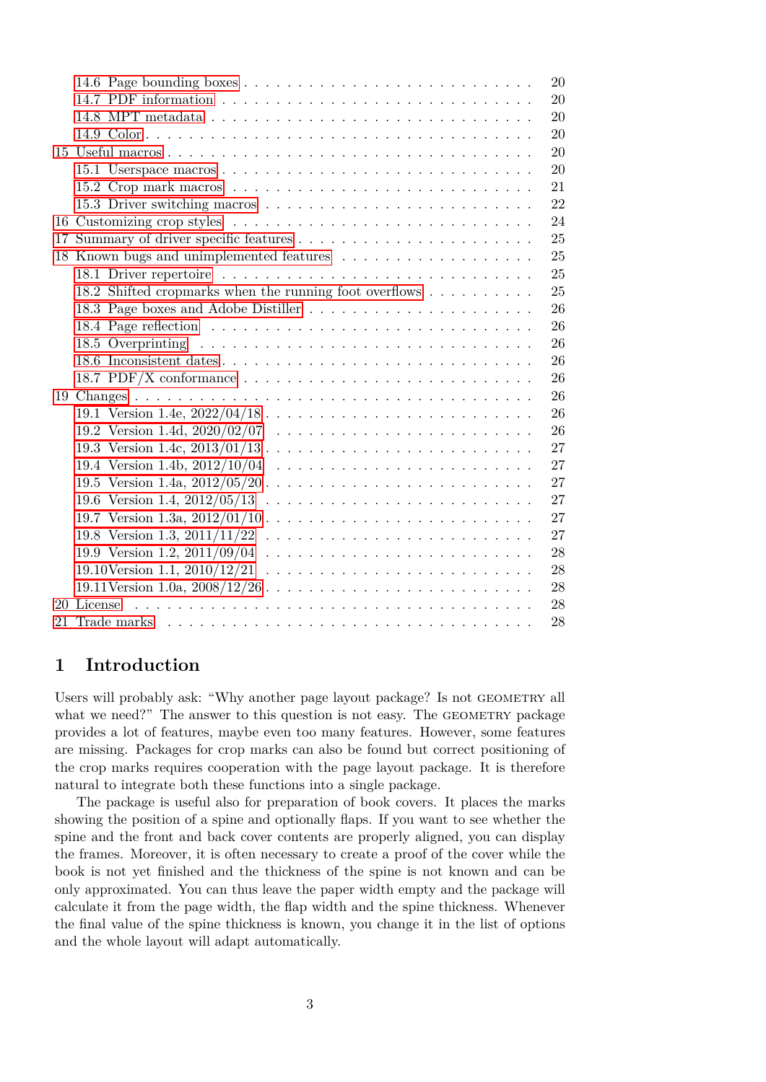|                                                        | 20 |
|--------------------------------------------------------|----|
|                                                        | 20 |
|                                                        | 20 |
|                                                        | 20 |
|                                                        | 20 |
|                                                        | 20 |
|                                                        | 21 |
|                                                        | 22 |
|                                                        | 24 |
|                                                        | 25 |
|                                                        | 25 |
|                                                        | 25 |
| 18.2 Shifted cropmarks when the running foot overflows | 25 |
|                                                        | 26 |
|                                                        | 26 |
|                                                        | 26 |
| 18.6 Inconsistent dates                                | 26 |
|                                                        | 26 |
|                                                        | 26 |
|                                                        | 26 |
|                                                        | 26 |
|                                                        | 27 |
|                                                        | 27 |
|                                                        | 27 |
|                                                        | 27 |
|                                                        | 27 |
|                                                        | 27 |
|                                                        | 28 |
|                                                        | 28 |
|                                                        | 28 |
| 20 License                                             | 28 |
|                                                        | 28 |

# <span id="page-2-0"></span>**1 Introduction**

Users will probably ask: "Why another page layout package? Is not GEOMETRY all what we need?" The answer to this question is not easy. The GEOMETRY package provides a lot of features, maybe even too many features. However, some features are missing. Packages for crop marks can also be found but correct positioning of the crop marks requires cooperation with the page layout package. It is therefore natural to integrate both these functions into a single package.

The package is useful also for preparation of book covers. It places the marks showing the position of a spine and optionally flaps. If you want to see whether the spine and the front and back cover contents are properly aligned, you can display the frames. Moreover, it is often necessary to create a proof of the cover while the book is not yet finished and the thickness of the spine is not known and can be only approximated. You can thus leave the paper width empty and the package will calculate it from the page width, the flap width and the spine thickness. Whenever the final value of the spine thickness is known, you change it in the list of options and the whole layout will adapt automatically.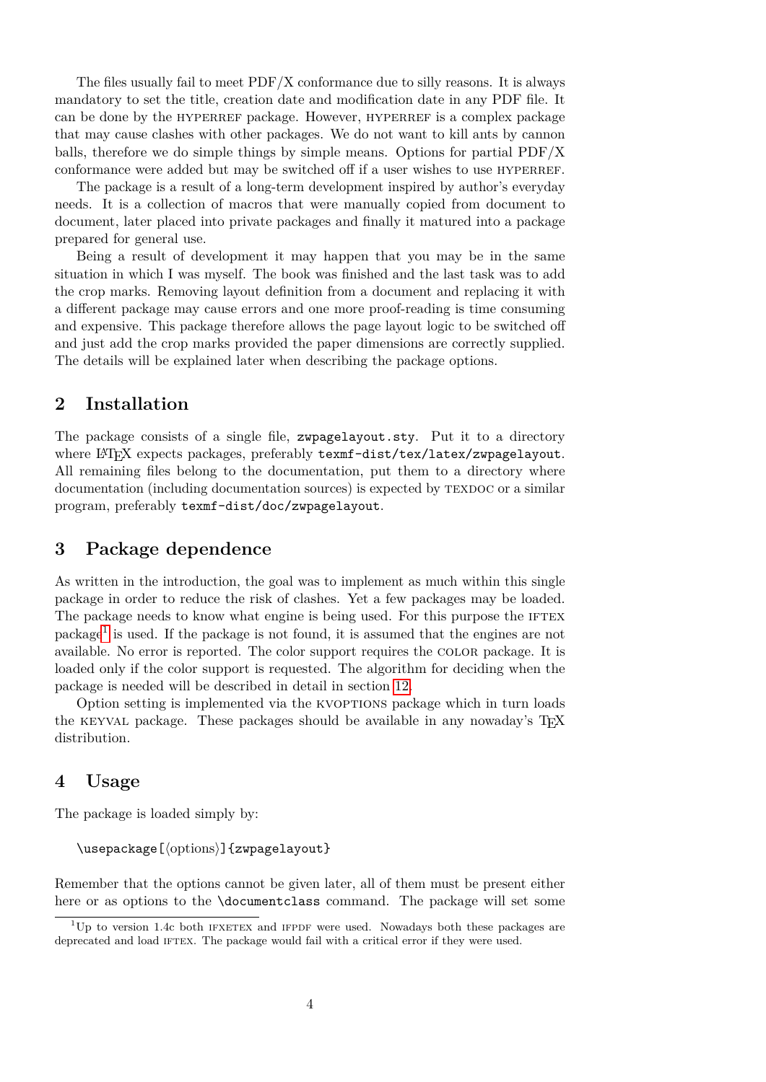The files usually fail to meet PDF/X conformance due to silly reasons. It is always mandatory to set the title, creation date and modification date in any PDF file. It can be done by the HYPERREF package. However, HYPERREF is a complex package that may cause clashes with other packages. We do not want to kill ants by cannon balls, therefore we do simple things by simple means. Options for partial PDF/X conformance were added but may be switched off if a user wishes to use HYPERREF.

The package is a result of a long-term development inspired by author's everyday needs. It is a collection of macros that were manually copied from document to document, later placed into private packages and finally it matured into a package prepared for general use.

Being a result of development it may happen that you may be in the same situation in which I was myself. The book was finished and the last task was to add the crop marks. Removing layout definition from a document and replacing it with a different package may cause errors and one more proof-reading is time consuming and expensive. This package therefore allows the page layout logic to be switched off and just add the crop marks provided the paper dimensions are correctly supplied. The details will be explained later when describing the package options.

## <span id="page-3-0"></span>**2 Installation**

The package consists of a single file, zwpagelayout.sty. Put it to a directory where LAT<sub>EX</sub> expects packages, preferably texmf-dist/tex/latex/zwpagelayout. All remaining files belong to the documentation, put them to a directory where documentation (including documentation sources) is expected by TEXDOC or a similar program, preferably texmf-dist/doc/zwpagelayout.

# <span id="page-3-1"></span>**3 Package dependence**

As written in the introduction, the goal was to implement as much within this single package in order to reduce the risk of clashes. Yet a few packages may be loaded. The package needs to know what engine is being used. For this purpose the IFTEX package<sup>[1](#page-3-3)</sup> is used. If the package is not found, it is assumed that the engines are not available. No error is reported. The color support requires the color package. It is loaded only if the color support is requested. The algorithm for deciding when the package is needed will be described in detail in section [12.](#page-14-1)

Option setting is implemented via the KVOPTIONS package which in turn loads the KEYVAL package. These packages should be available in any nowaday's T<sub>F</sub>X distribution.

### <span id="page-3-2"></span>**4 Usage**

The package is loaded simply by:

```
\usepackage[⟨options⟩]{zwpagelayout}
```
Remember that the options cannot be given later, all of them must be present either here or as options to the **\documentclass** command. The package will set some

<span id="page-3-3"></span> $1$ Up to version 1.4c both IFXETEX and IFPDF were used. Nowadays both these packages are deprecated and load IFTEX. The package would fail with a critical error if they were used.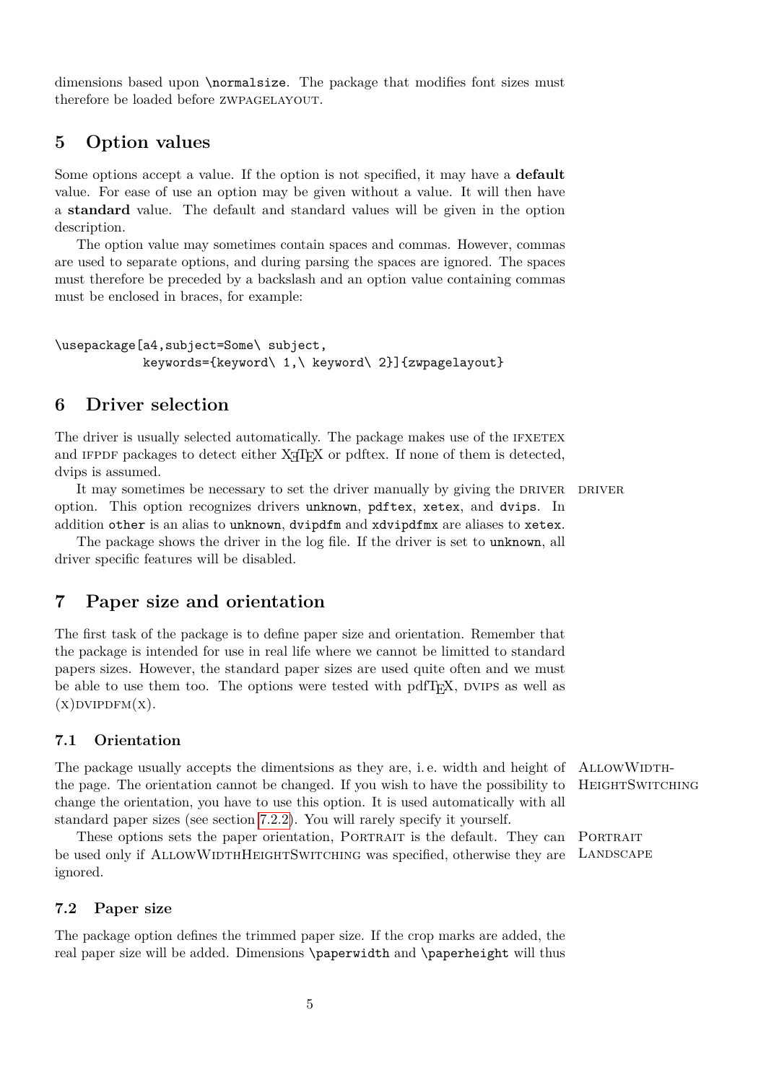dimensions based upon \normalsize. The package that modifies font sizes must therefore be loaded before zwpagelayout.

# <span id="page-4-0"></span>**5 Option values**

Some options accept a value. If the option is not specified, it may have a **default** value. For ease of use an option may be given without a value. It will then have a **standard** value. The default and standard values will be given in the option description.

The option value may sometimes contain spaces and commas. However, commas are used to separate options, and during parsing the spaces are ignored. The spaces must therefore be preceded by a backslash and an option value containing commas must be enclosed in braces, for example:

```
\usepackage[a4,subject=Some\ subject,
            keywords={keyword\ 1,\ keyword\ 2}]{zwpagelayout}
```
### <span id="page-4-1"></span>**6 Driver selection**

The driver is usually selected automatically. The package makes use of the IFXETEX and IFPDF packages to detect either X<sub>T</sub>T<sub>E</sub>X or pdftex. If none of them is detected, dvips is assumed.

It may sometimes be necessary to set the driver manually by giving the DRIVER DRIVER option. This option recognizes drivers unknown, pdftex, xetex, and dvips. In addition other is an alias to unknown, dvipdfm and xdvipdfmx are aliases to xetex.

The package shows the driver in the log file. If the driver is set to unknown, all driver specific features will be disabled.

# <span id="page-4-2"></span>**7 Paper size and orientation**

The first task of the package is to define paper size and orientation. Remember that the package is intended for use in real life where we cannot be limitted to standard papers sizes. However, the standard paper sizes are used quite often and we must be able to use them too. The options were tested with  $pdfTr[X, DVIPS]$  as well as  $(x)$ DVIPDFM $(x)$ .

#### <span id="page-4-3"></span>**7.1 Orientation**

The package usually accepts the dimentsions as they are, i.e. width and height of ALLOWWIDTHthe page. The orientation cannot be changed. If you wish to have the possibility to HEIGHTSWITCHING change the orientation, you have to use this option. It is used automatically with all standard paper sizes (see section [7.2.2\)](#page-5-1). You will rarely specify it yourself.

These options sets the paper orientation, PORTRAIT is the default. They can PORTRAIT be used only if ALLOWWIDTHHEIGHTSWITCHING was specified, otherwise they are LANDSCAPE ignored.

#### <span id="page-4-4"></span>**7.2 Paper size**

The package option defines the trimmed paper size. If the crop marks are added, the real paper size will be added. Dimensions \paperwidth and \paperheight will thus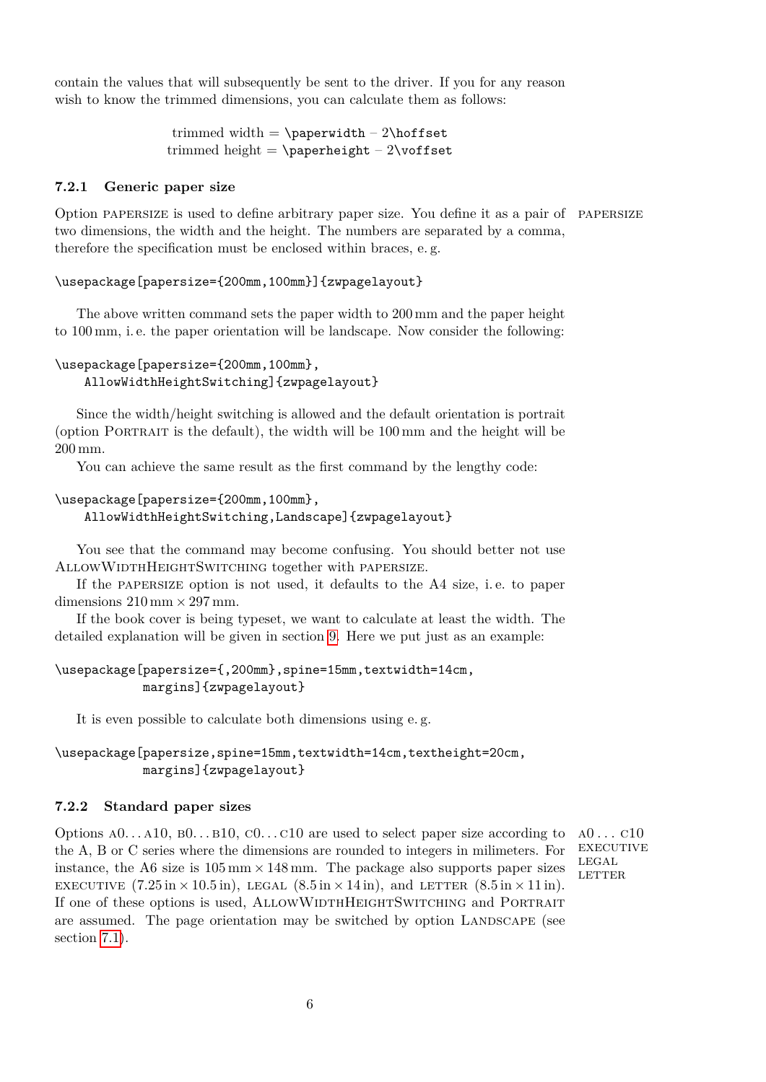contain the values that will subsequently be sent to the driver. If you for any reason wish to know the trimmed dimensions, you can calculate them as follows:

> trimmed width  $= \pmb{\text{t} - 2\hbox{hoffset}}$ trimmed height =  $\text{b}$  \paperheight - 2\voffset

#### <span id="page-5-0"></span>**7.2.1 Generic paper size**

Option papersize is used to define arbitrary paper size. You define it as a pair of papersize two dimensions, the width and the height. The numbers are separated by a comma, therefore the specification must be enclosed within braces, e. g.

#### \usepackage[papersize={200mm,100mm}]{zwpagelayout}

The above written command sets the paper width to 200 mm and the paper height to 100 mm, i. e. the paper orientation will be landscape. Now consider the following:

### \usepackage[papersize={200mm,100mm}, AllowWidthHeightSwitching]{zwpagelayout}

Since the width/height switching is allowed and the default orientation is portrait (option Portrait is the default), the width will be 100 mm and the height will be 200 mm.

You can achieve the same result as the first command by the lengthy code:

### \usepackage[papersize={200mm,100mm}, AllowWidthHeightSwitching,Landscape]{zwpagelayout}

You see that the command may become confusing. You should better not use AllowWidthHeightSwitching together with papersize.

If the papersize option is not used, it defaults to the A4 size, i. e. to paper dimensions  $210 \,\mathrm{mm} \times 297 \,\mathrm{mm}$ .

If the book cover is being typeset, we want to calculate at least the width. The detailed explanation will be given in section [9.](#page-8-1) Here we put just as an example:

### \usepackage[papersize={,200mm},spine=15mm,textwidth=14cm, margins]{zwpagelayout}

It is even possible to calculate both dimensions using e. g.

### \usepackage[papersize,spine=15mm,textwidth=14cm,textheight=20cm, margins]{zwpagelayout}

#### <span id="page-5-1"></span>**7.2.2 Standard paper sizes**

Options  $A0...A10$ ,  $B0...B10$ ,  $C0...C10$  are used to select paper size according to  $A0...C10$ the A, B or C series where the dimensions are rounded to integers in milimeters. For instance, the A6 size is  $105 \,\mathrm{mm} \times 148 \,\mathrm{mm}$ . The package also supports paper sizes EXECUTIVE  $(7.25 \text{ in} \times 10.5 \text{ in})$ , LEGAL  $(8.5 \text{ in} \times 14 \text{ in})$ , and LETTER  $(8.5 \text{ in} \times 11 \text{ in})$ . If one of these options is used, ALLOWWIDTHHEIGHTSWITCHING and PORTRAIT are assumed. The page orientation may be switched by option LANDSCAPE (see section [7.1\)](#page-4-3).

**EXECUTIVE** LEGAL LETTER.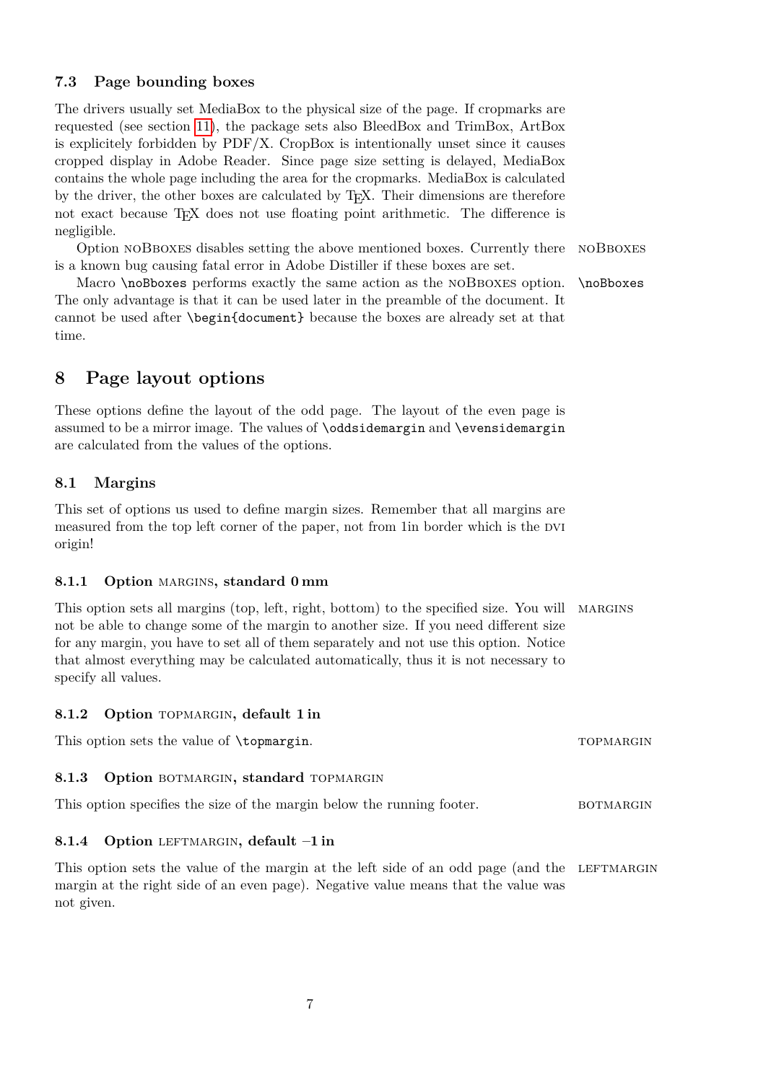### <span id="page-6-0"></span>**7.3 Page bounding boxes**

The drivers usually set MediaBox to the physical size of the page. If cropmarks are requested (see section [11\)](#page-11-0), the package sets also BleedBox and TrimBox, ArtBox is explicitely forbidden by PDF/X. CropBox is intentionally unset since it causes cropped display in Adobe Reader. Since page size setting is delayed, MediaBox contains the whole page including the area for the cropmarks. MediaBox is calculated by the driver, the other boxes are calculated by TEX. Their dimensions are therefore not exact because T<sub>EX</sub> does not use floating point arithmetic. The difference is negligible.

Option noBboxes disables setting the above mentioned boxes. Currently there noBboxes is a known bug causing fatal error in Adobe Distiller if these boxes are set.

Macro \noBboxes performs exactly the same action as the NOBBOXES option. \noBboxes The only advantage is that it can be used later in the preamble of the document. It cannot be used after \begin{document} because the boxes are already set at that time.

# <span id="page-6-1"></span>**8 Page layout options**

These options define the layout of the odd page. The layout of the even page is assumed to be a mirror image. The values of \oddsidemargin and \evensidemargin are calculated from the values of the options.

### <span id="page-6-2"></span>**8.1 Margins**

This set of options us used to define margin sizes. Remember that all margins are measured from the top left corner of the paper, not from 1 in border which is the DVI origin!

### <span id="page-6-3"></span>8.1.1 Option MARGINS, standard 0 mm

This option sets all margins (top, left, right, bottom) to the specified size. You will margins not be able to change some of the margin to another size. If you need different size for any margin, you have to set all of them separately and not use this option. Notice that almost everything may be calculated automatically, thus it is not necessary to specify all values.

### <span id="page-6-4"></span>**8.1.2 Option** topmargin**, default 1 in**

This option sets the value of \topmargin. This option sets the value of \topmargin.

#### <span id="page-6-5"></span>8.1.3 Option BOTMARGIN, standard TOPMARGIN

| This option specifies the size of the margin below the running footer. | <b>BOTMARGIN</b> |
|------------------------------------------------------------------------|------------------|
|------------------------------------------------------------------------|------------------|

#### <span id="page-6-6"></span>8.1.4 Option LEFTMARGIN, default  $-1$  in

This option sets the value of the margin at the left side of an odd page (and the LEFTMARGIN margin at the right side of an even page). Negative value means that the value was not given.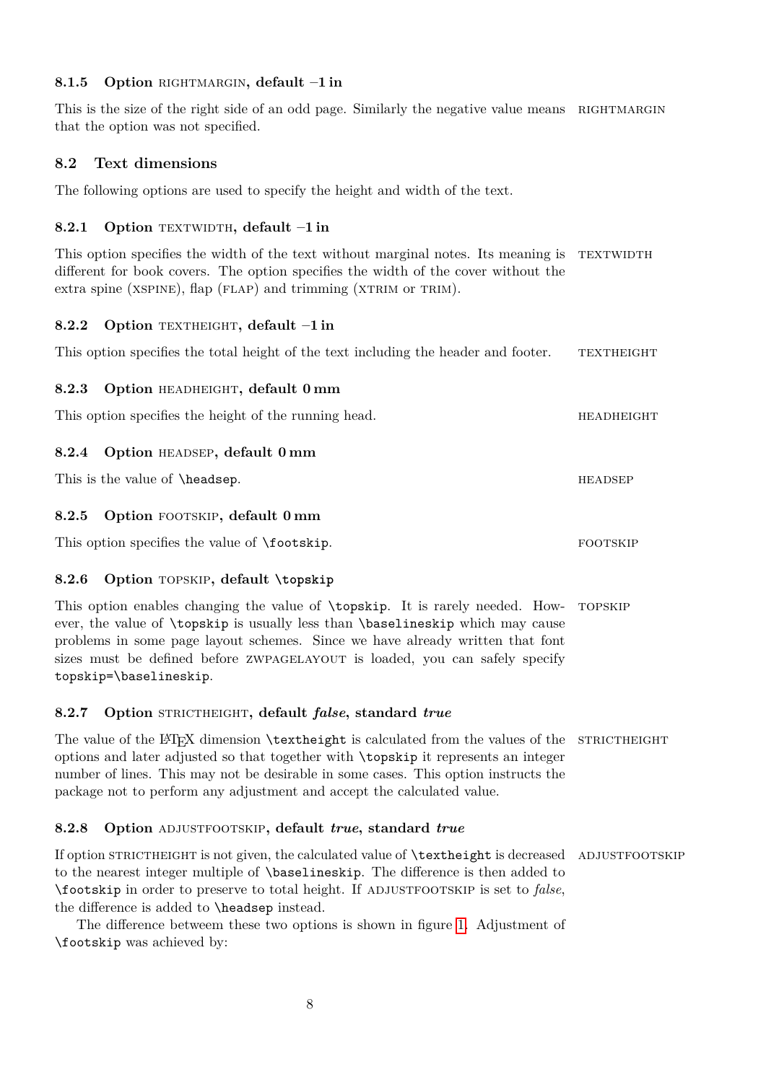### <span id="page-7-0"></span>8.1.5 Option RIGHTMARGIN, default  $-1$  in

This is the size of the right side of an odd page. Similarly the negative value means RIGHTMARGIN that the option was not specified.

### <span id="page-7-1"></span>**8.2 Text dimensions**

The following options are used to specify the height and width of the text.

### <span id="page-7-2"></span>**8.2.1 Option TEXTWIDTH, default -1 in**

This option specifies the width of the text without marginal notes. Its meaning is TEXTWIDTH different for book covers. The option specifies the width of the cover without the extra spine ( $XSPINE$ ), flap ( $FLAP$ ) and trimming ( $XTRIM$  or  $TRIM$ ).

### <span id="page-7-3"></span>8.2.2 Option TEXTHEIGHT, default  $-1$  in

This option specifies the total height of the text including the header and footer. TEXTHEIGHT

### <span id="page-7-4"></span>**8.2.3 Option** headheight**, default 0 mm**

This option specifies the height of the running head. HEADHEIGHT

### <span id="page-7-5"></span>**8.2.4 Option** headsep**, default 0 mm**

This is the value of  $\heartsuit$  headsep.

### <span id="page-7-6"></span>**8.2.5 Option** footskip**, default 0 mm**

This option specifies the value of **\footskip**. FOOTSKIP

### <span id="page-7-7"></span>**8.2.6 Option** topskip**, default \topskip**

This option enables changing the value of \topskip. It is rarely needed. How- topskip ever, the value of \topskip is usually less than \baselineskip which may cause problems in some page layout schemes. Since we have already written that font sizes must be defined before ZWPAGELAYOUT is loaded, you can safely specify topskip=\baselineskip.

### <span id="page-7-8"></span>**8.2.7 Option** strictheight**, default** *false***, standard** *true*

The value of the LATEX dimension \textheight is calculated from the values of the STRICTHEIGHT options and later adjusted so that together with \topskip it represents an integer number of lines. This may not be desirable in some cases. This option instructs the package not to perform any adjustment and accept the calculated value.

### <span id="page-7-9"></span>**8.2.8 Option** adjustfootskip**, default** *true***, standard** *true*

If option STRICTHEIGHT is not given, the calculated value of **\textheight** is decreased ADJUSTFOOTSKIP to the nearest integer multiple of \baselineskip. The difference is then added to \footskip in order to preserve to total height. If adjustfootskip is set to *false*, the difference is added to \headsep instead.

The difference betweem these two options is shown in figure [1.](#page-8-2) Adjustment of \footskip was achieved by: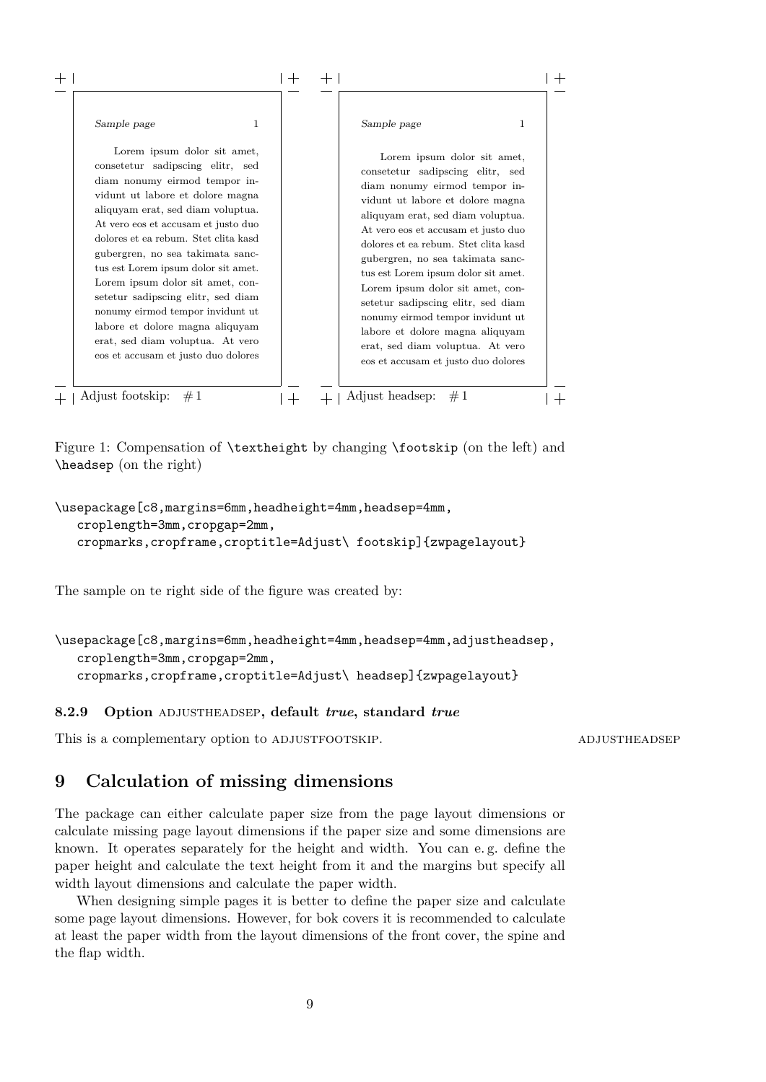| Sample page                          | Sample page                          |
|--------------------------------------|--------------------------------------|
| 1                                    | 1                                    |
| Lorem ipsum dolor sit amet,          | Lorem ipsum dolor sit amet,          |
| consetetur sadipscing elitr, sed     | consetetur sadipscing elitr, sed     |
| diam nonumy eirmod tempor in-        | diam nonumy eirmod tempor in-        |
| vidunt ut labore et dolore magna     | vidunt ut labore et dolore magna     |
| aliquyam erat, sed diam voluptua.    | aliquyam erat, sed diam voluptua.    |
| At vero eos et accusam et justo duo  | At vero eos et accusam et justo duo  |
| dolores et ea rebum. Stet clita kasd | dolores et ea rebum. Stet clita kasd |
| gubergren, no sea takimata sanc-     | gubergren, no sea takimata sanc-     |
| tus est Lorem ipsum dolor sit amet.  | tus est Lorem ipsum dolor sit amet.  |
| Lorem ipsum dolor sit amet, con-     | Lorem ipsum dolor sit amet, con-     |
| setetur sadipscing elitr, sed diam   | setetur sadipscing elitr, sed diam   |
| nonumy eirmod tempor invidunt ut     | nonumy eirmod tempor invidunt ut     |
| labore et dolore magna aliquyam      | labore et dolore magna aliquyam      |
| erat, sed diam voluptua. At vero     | erat, sed diam voluptua. At vero     |
| eos et accusam et justo duo dolores  | eos et accusam et justo duo dolores  |

<span id="page-8-2"></span>Figure 1: Compensation of \textheight by changing \footskip (on the left) and \headsep (on the right)

```
\usepackage[c8,margins=6mm,headheight=4mm,headsep=4mm,
   croplength=3mm, cropgap=2mm,
   cropmarks,cropframe,croptitle=Adjust\ footskip]{zwpagelayout}
```
The sample on te right side of the figure was created by:

```
\usepackage[c8,margins=6mm,headheight=4mm,headsep=4mm,adjustheadsep,
   croplength=3mm,cropgap=2mm,
   cropmarks,cropframe,croptitle=Adjust\ headsep]{zwpagelayout}
```
#### <span id="page-8-0"></span>**8.2.9 Option** adjustheadsep**, default** *true***, standard** *true*

This is a complementary option to ADJUSTFOOTSKIP. ADJUSTHEADSEP

# <span id="page-8-1"></span>**9 Calculation of missing dimensions**

The package can either calculate paper size from the page layout dimensions or calculate missing page layout dimensions if the paper size and some dimensions are known. It operates separately for the height and width. You can e. g. define the paper height and calculate the text height from it and the margins but specify all width layout dimensions and calculate the paper width.

When designing simple pages it is better to define the paper size and calculate some page layout dimensions. However, for bok covers it is recommended to calculate at least the paper width from the layout dimensions of the front cover, the spine and the flap width.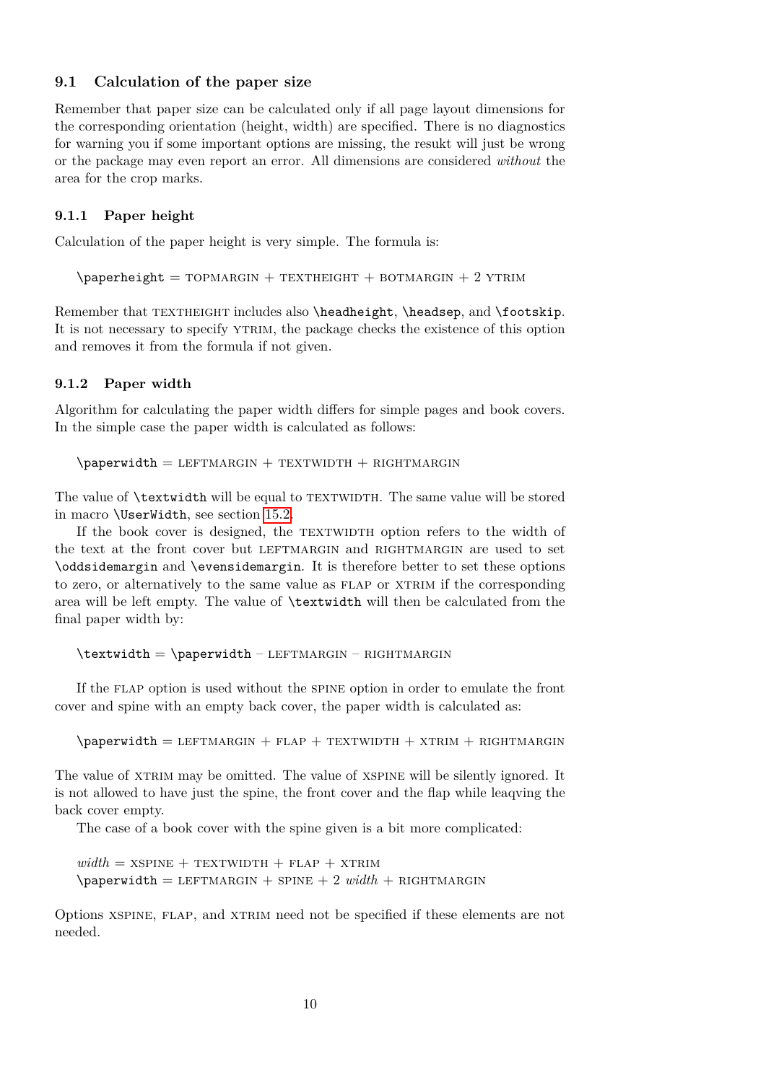#### <span id="page-9-0"></span>**9.1 Calculation of the paper size**

Remember that paper size can be calculated only if all page layout dimensions for the corresponding orientation (height, width) are specified. There is no diagnostics for warning you if some important options are missing, the resukt will just be wrong or the package may even report an error. All dimensions are considered *without* the area for the crop marks.

#### <span id="page-9-1"></span>**9.1.1 Paper height**

Calculation of the paper height is very simple. The formula is:

 $\epsilon$  \paperheight = TOPMARGIN + TEXTHEIGHT + BOTMARGIN + 2 YTRIM

Remember that TEXTHEIGHT includes also \headheight, \headsep, and \footskip. It is not necessary to specify ytrim, the package checks the existence of this option and removes it from the formula if not given.

#### <span id="page-9-2"></span>**9.1.2 Paper width**

Algorithm for calculating the paper width differs for simple pages and book covers. In the simple case the paper width is calculated as follows:

 $\epsilon$  \paperwidth = LEFTMARGIN + TEXTWIDTH + RIGHTMARGIN

The value of **\textwidth** will be equal to TEXTWIDTH. The same value will be stored in macro \UserWidth, see section [15.2.](#page-20-0)

If the book cover is designed, the TEXTWIDTH option refers to the width of the text at the front cover but LEFTMARGIN and RIGHTMARGIN are used to set \oddsidemargin and \evensidemargin. It is therefore better to set these options to zero, or alternatively to the same value as flap or xtrim if the corresponding area will be left empty. The value of \textwidth will then be calculated from the final paper width by:

```
\text{total} = \text{width} - \text{L}\ – RIGHTMARGIN
```
If the flap option is used without the spine option in order to emulate the front cover and spine with an empty back cover, the paper width is calculated as:

 $\epsilon$  \paperwidth = LEFTMARGIN + FLAP + TEXTWIDTH + XTRIM + RIGHTMARGIN

The value of XTRIM may be omitted. The value of XSPINE will be silently ignored. It is not allowed to have just the spine, the front cover and the flap while leaqving the back cover empty.

The case of a book cover with the spine given is a bit more complicated:

 $width = XSPINE + TEXTWIDTH + FLAP + XTRIM$  $\text{paperwidth} = \text{LEFTMARGIN} + \text{SPINE} + 2 \text{ width} + \text{RIGHTMARGIN}$ 

Options xspine, flap, and xtrim need not be specified if these elements are not needed.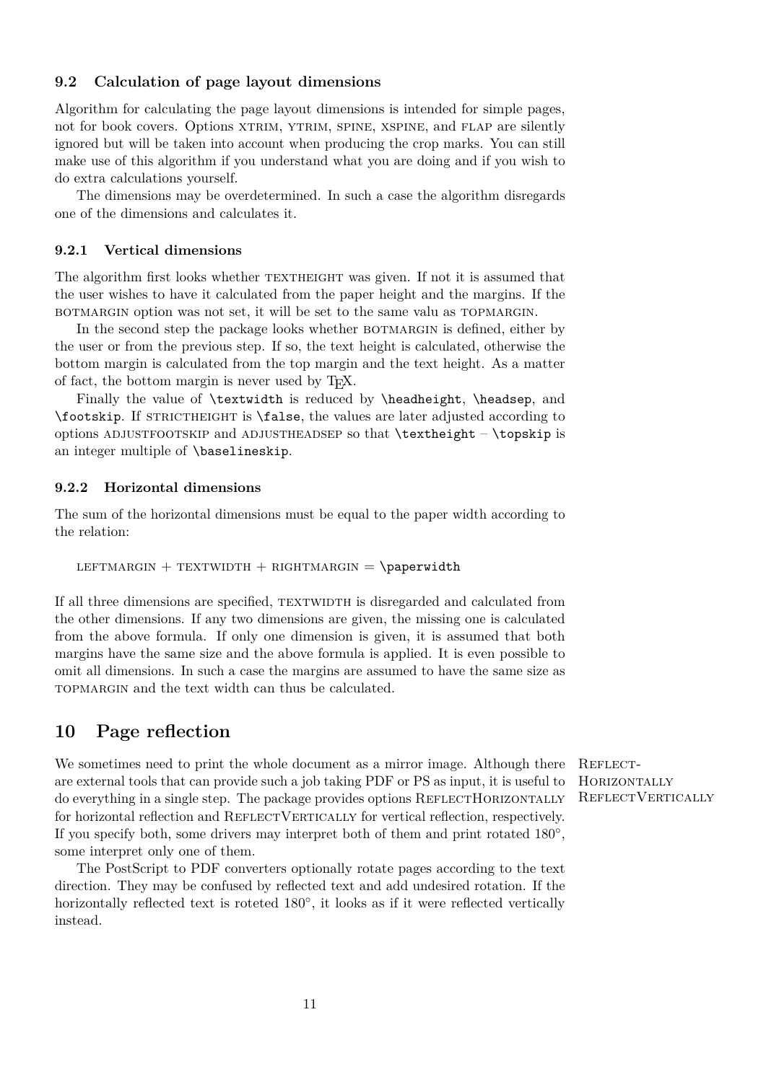### <span id="page-10-0"></span>**9.2 Calculation of page layout dimensions**

Algorithm for calculating the page layout dimensions is intended for simple pages, not for book covers. Options XTRIM, YTRIM, SPINE, XSPINE, and FLAP are silently ignored but will be taken into account when producing the crop marks. You can still make use of this algorithm if you understand what you are doing and if you wish to do extra calculations yourself.

The dimensions may be overdetermined. In such a case the algorithm disregards one of the dimensions and calculates it.

### <span id="page-10-1"></span>**9.2.1 Vertical dimensions**

The algorithm first looks whether textheight was given. If not it is assumed that the user wishes to have it calculated from the paper height and the margins. If the botmargin option was not set, it will be set to the same valu as topmargin.

In the second step the package looks whether BOTMARGIN is defined, either by the user or from the previous step. If so, the text height is calculated, otherwise the bottom margin is calculated from the top margin and the text height. As a matter of fact, the bottom margin is never used by TEX.

Finally the value of \textwidth is reduced by \headheight, \headsep, and \footskip. If STRICTHEIGHT is \false, the values are later adjusted according to options ADJUSTFOOTSKIP and ADJUSTHEADSEP so that **\textheight** – **\topskip** is an integer multiple of \baselineskip.

#### <span id="page-10-2"></span>**9.2.2 Horizontal dimensions**

The sum of the horizontal dimensions must be equal to the paper width according to the relation:

LEFTMARGIN + TEXTWIDTH + RIGHTMARGIN =  $\epsilon$ 

If all three dimensions are specified, TEXTWIDTH is disregarded and calculated from the other dimensions. If any two dimensions are given, the missing one is calculated from the above formula. If only one dimension is given, it is assumed that both margins have the same size and the above formula is applied. It is even possible to omit all dimensions. In such a case the margins are assumed to have the same size as topmargin and the text width can thus be calculated.

## <span id="page-10-3"></span>**10 Page reflection**

We sometimes need to print the whole document as a mirror image. Although there REFLECTare external tools that can provide such a job taking PDF or PS as input, it is useful to do everything in a single step. The package provides options REFLECTHORIZONTALLY for horizontal reflection and REFLECTVERTICALLY for vertical reflection, respectively. If you specify both, some drivers may interpret both of them and print rotated  $180^{\circ}$ , some interpret only one of them.

The PostScript to PDF converters optionally rotate pages according to the text direction. They may be confused by reflected text and add undesired rotation. If the horizontally reflected text is roteted  $180^\circ$ , it looks as if it were reflected vertically instead.

**HORIZONTALLY** REFLECTVERTICALLY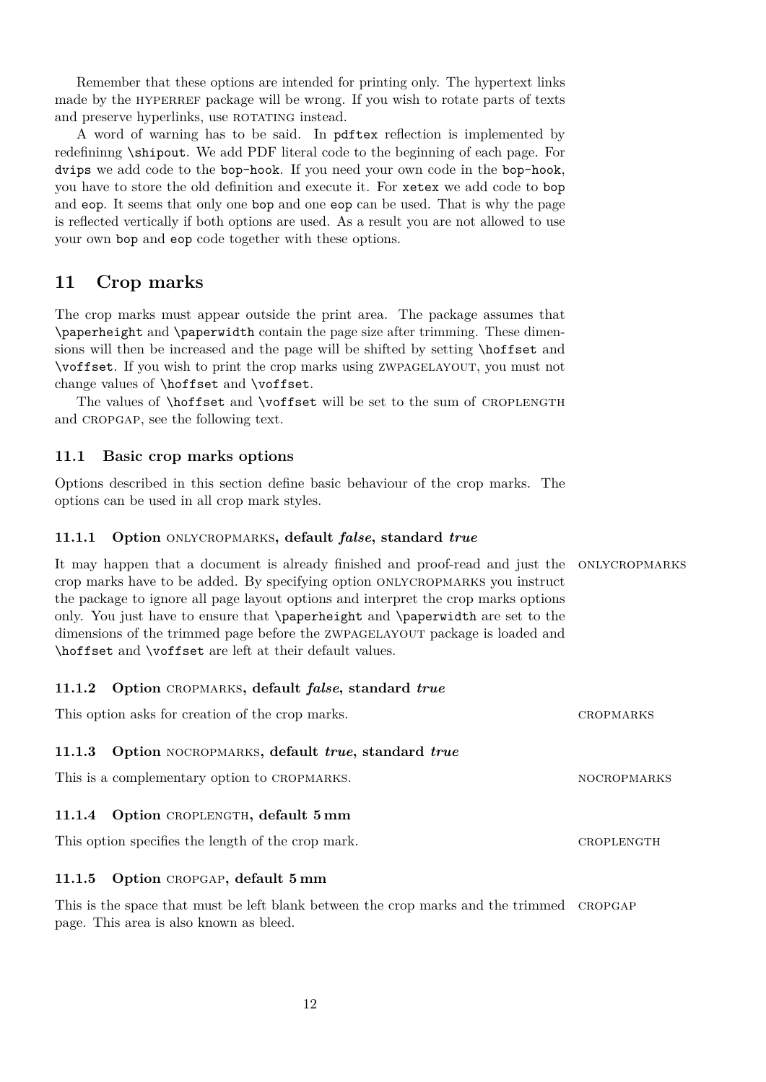Remember that these options are intended for printing only. The hypertext links made by the HYPERREF package will be wrong. If you wish to rotate parts of texts and preserve hyperlinks, use ROTATING instead.

A word of warning has to be said. In pdftex reflection is implemented by redefininng \shipout. We add PDF literal code to the beginning of each page. For dvips we add code to the bop-hook. If you need your own code in the bop-hook, you have to store the old definition and execute it. For xetex we add code to bop and eop. It seems that only one bop and one eop can be used. That is why the page is reflected vertically if both options are used. As a result you are not allowed to use your own bop and eop code together with these options.

# <span id="page-11-0"></span>**11 Crop marks**

The crop marks must appear outside the print area. The package assumes that \paperheight and \paperwidth contain the page size after trimming. These dimensions will then be increased and the page will be shifted by setting \hoffset and \voffset. If you wish to print the crop marks using zwpagelayout, you must not change values of \hoffset and \voffset.

The values of **\hoffset** and **\voffset** will be set to the sum of CROPLENGTH and CROPGAP, see the following text.

### <span id="page-11-1"></span>**11.1 Basic crop marks options**

Options described in this section define basic behaviour of the crop marks. The options can be used in all crop mark styles.

#### <span id="page-11-2"></span>**11.1.1 Option** onlycropmarks**, default** *false***, standard** *true*

It may happen that a document is already finished and proof-read and just the onlycropmarks crop marks have to be added. By specifying option onlycropmarks you instruct the package to ignore all page layout options and interpret the crop marks options only. You just have to ensure that \paperheight and \paperwidth are set to the dimensions of the trimmed page before the ZWPAGELAYOUT package is loaded and \hoffset and \voffset are left at their default values.

#### <span id="page-11-3"></span>**11.1.2 Option** cropmarks**, default** *false***, standard** *true*

This option asks for creation of the crop marks. CROPMARKS

### <span id="page-11-4"></span>**11.1.3 Option** nocropmarks**, default** *true***, standard** *true*

This is a complementary option to CROPMARKS. NOCROPMARKS

#### <span id="page-11-5"></span>11.1.4 Option CROPLENGTH, default 5 mm

This option specifies the length of the crop mark. CROPLENGTH

#### <span id="page-11-6"></span>**11.1.5 Option** cropgap**, default 5 mm**

This is the space that must be left blank between the crop marks and the trimmed CROPGAP page. This area is also known as bleed.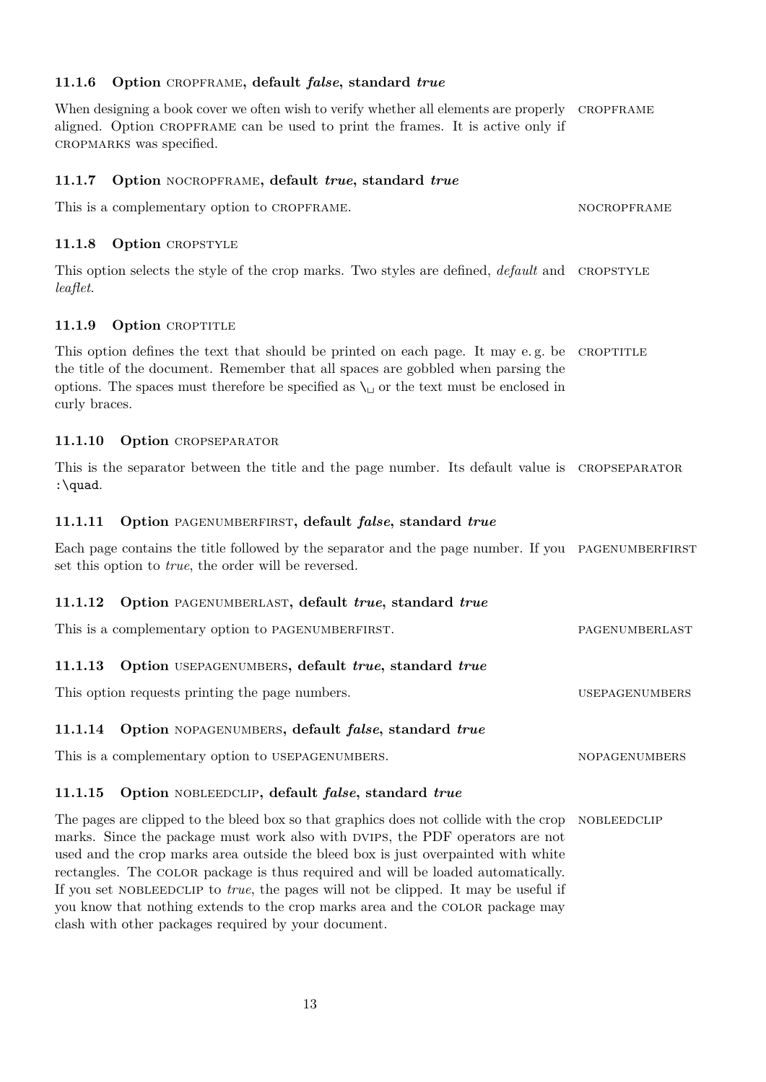### <span id="page-12-0"></span>**11.1.6 Option** cropframe**, default** *false***, standard** *true*

When designing a book cover we often wish to verify whether all elements are properly CROPFRAME aligned. Option cropframe can be used to print the frames. It is active only if cropmarks was specified.

### <span id="page-12-1"></span>**11.1.7 Option** nocropframe**, default** *true***, standard** *true*

This is a complementary option to CROPFRAME. NOCROPFRAME

#### <span id="page-12-2"></span>11.1.8 Option CROPSTYLE

This option selects the style of the crop marks. Two styles are defined, *default* and CROPSTYLE *leaflet*.

### <span id="page-12-3"></span>11.1.9 Option CROPTITLE

This option defines the text that should be printed on each page. It may e.g. be CROPTITLE the title of the document. Remember that all spaces are gobbled when parsing the options. The spaces must therefore be specified as  $\setminus \Box$  or the text must be enclosed in curly braces.

### <span id="page-12-4"></span>11.1.10 Option CROPSEPARATOR

This is the separator between the title and the page number. Its default value is CROPSEPARATOR :\quad.

### <span id="page-12-5"></span>**11.1.11 Option** pagenumberfirst**, default** *false***, standard** *true*

Each page contains the title followed by the separator and the page number. If you PAGENUMBERFIRST set this option to *true*, the order will be reversed.

#### <span id="page-12-6"></span>**11.1.12 Option** pagenumberlast**, default** *true***, standard** *true*

| This is a complementary option to PAGENUMBERFIRST.         | PAGENUMBERLAST |  |
|------------------------------------------------------------|----------------|--|
| 11 1 19 Option HUEDACENHAPPER default trees standard trees |                |  |

### <span id="page-12-7"></span>**11.1.13 Option** usepagenumbers**, default** *true***, standard** *true*

This option requests printing the page numbers. USEPAGENUMBERS

#### <span id="page-12-8"></span>**11.1.14 Option** nopagenumbers**, default** *false***, standard** *true*

This is a complementary option to USEPAGENUMBERS. NOPAGENUMBERS

### <span id="page-12-9"></span>**11.1.15 Option** nobleedclip**, default** *false***, standard** *true*

The pages are clipped to the bleed box so that graphics does not collide with the crop NOBLEEDCLIP marks. Since the package must work also with DVIPS, the PDF operators are not used and the crop marks area outside the bleed box is just overpainted with white rectangles. The color package is thus required and will be loaded automatically. If you set nobleedclip to *true*, the pages will not be clipped. It may be useful if you know that nothing extends to the crop marks area and the color package may clash with other packages required by your document.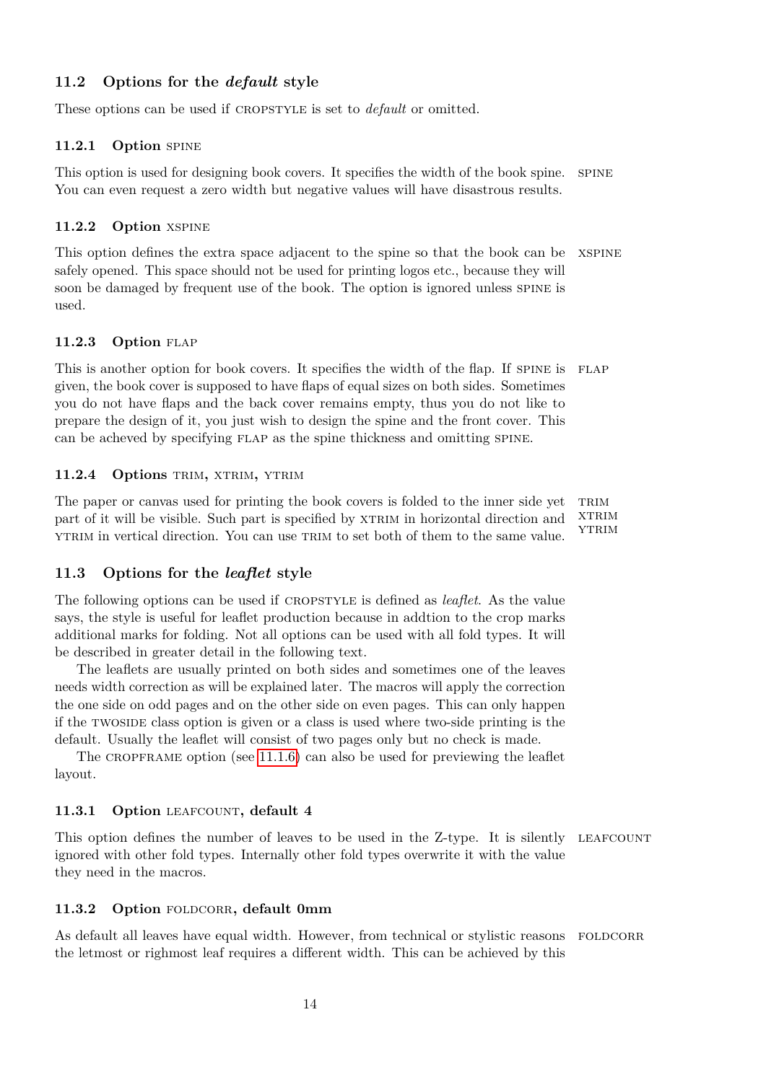### <span id="page-13-0"></span>**11.2 Options for the** *default* **style**

These options can be used if CROPSTYLE is set to *default* or omitted.

#### <span id="page-13-1"></span>**11.2.1 Option** spine

This option is used for designing book covers. It specifies the width of the book spine. spine You can even request a zero width but negative values will have disastrous results.

#### <span id="page-13-2"></span>**11.2.2 Option** xspine

This option defines the extra space adjacent to the spine so that the book can be XSPINE safely opened. This space should not be used for printing logos etc., because they will soon be damaged by frequent use of the book. The option is ignored unless spine is used.

#### <span id="page-13-3"></span>11.2.3 Option FLAP

This is another option for book covers. It specifies the width of the flap. If SPINE is FLAP given, the book cover is supposed to have flaps of equal sizes on both sides. Sometimes you do not have flaps and the back cover remains empty, thus you do not like to prepare the design of it, you just wish to design the spine and the front cover. This can be acheved by specifying flap as the spine thickness and omitting spine.

#### <span id="page-13-4"></span>11.2.4 Options TRIM, XTRIM, YTRIM

The paper or canvas used for printing the book covers is folded to the inner side yet TRIM **XTRIM YTRIM** part of it will be visible. Such part is specified by XTRIM in horizontal direction and ytrim in vertical direction. You can use trim to set both of them to the same value.

#### <span id="page-13-5"></span>**11.3 Options for the** *leaflet* **style**

The following options can be used if cropstyle is defined as *leaflet*. As the value says, the style is useful for leaflet production because in addtion to the crop marks additional marks for folding. Not all options can be used with all fold types. It will be described in greater detail in the following text.

The leaflets are usually printed on both sides and sometimes one of the leaves needs width correction as will be explained later. The macros will apply the correction the one side on odd pages and on the other side on even pages. This can only happen if the twoside class option is given or a class is used where two-side printing is the default. Usually the leaflet will consist of two pages only but no check is made.

The CROPFRAME option (see  $11.1.6$ ) can also be used for previewing the leaflet layout.

### <span id="page-13-6"></span>11.3.1 Option LEAFCOUNT, default 4

This option defines the number of leaves to be used in the Z-type. It is silently LEAFCOUNT ignored with other fold types. Internally other fold types overwrite it with the value they need in the macros.

#### <span id="page-13-7"></span>11.3.2 Option FOLDCORR, default 0mm

As default all leaves have equal width. However, from technical or stylistic reasons FOLDCORR the letmost or righmost leaf requires a different width. This can be achieved by this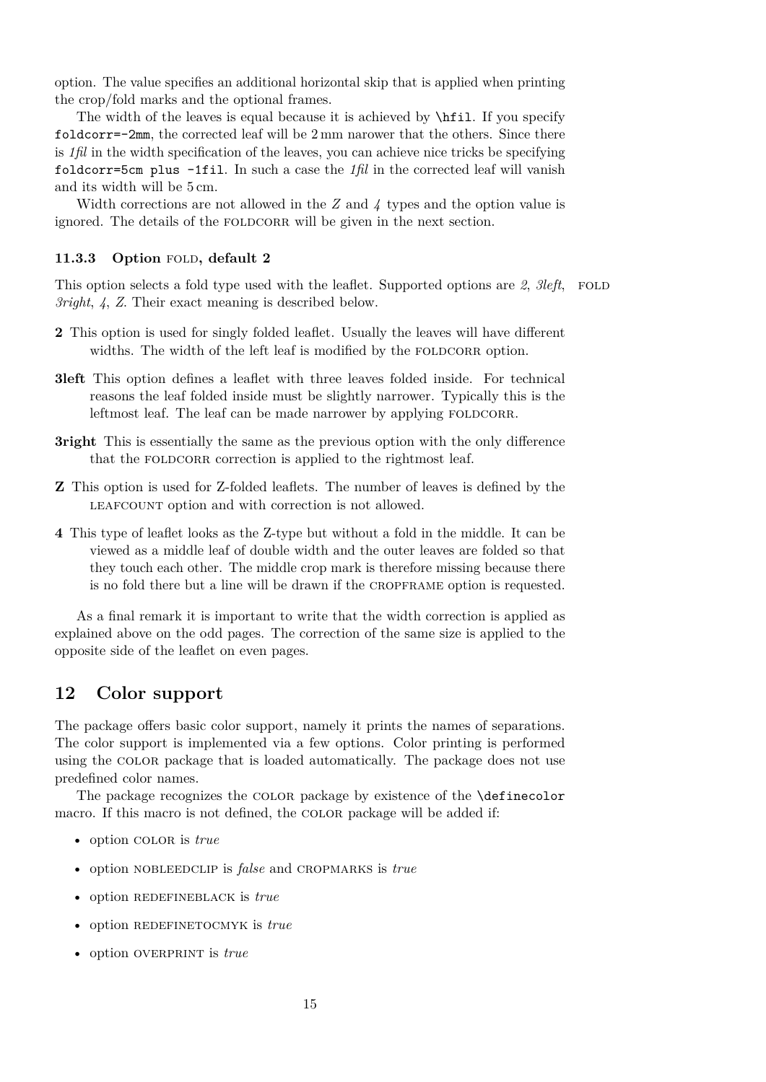option. The value specifies an additional horizontal skip that is applied when printing the crop/fold marks and the optional frames.

The width of the leaves is equal because it is achieved by  $\hbar$ il. If you specify foldcorr=-2mm, the corrected leaf will be 2 mm narower that the others. Since there is *1fil* in the width specification of the leaves, you can achieve nice tricks be specifying foldcorr=5cm plus -1fil. In such a case the *1fil* in the corrected leaf will vanish and its width will be 5 cm.

Width corrections are not allowed in the *Z* and *4* types and the option value is ignored. The details of the FOLDCORR will be given in the next section.

### <span id="page-14-0"></span>11.3.3 Option FOLD, default 2

This option selects a fold type used with the leaflet. Supported options are 2, 3left, FOLD *3right*, *4*, *Z*. Their exact meaning is described below.

- **2** This option is used for singly folded leaflet. Usually the leaves will have different widths. The width of the left leaf is modified by the FOLDCORR option.
- **3left** This option defines a leaflet with three leaves folded inside. For technical reasons the leaf folded inside must be slightly narrower. Typically this is the leftmost leaf. The leaf can be made narrower by applying FOLDCORR.
- **3right** This is essentially the same as the previous option with the only difference that the FOLDCORR correction is applied to the rightmost leaf.
- **Z** This option is used for Z-folded leaflets. The number of leaves is defined by the LEAFCOUNT option and with correction is not allowed.
- **4** This type of leaflet looks as the Z-type but without a fold in the middle. It can be viewed as a middle leaf of double width and the outer leaves are folded so that they touch each other. The middle crop mark is therefore missing because there is no fold there but a line will be drawn if the cropframe option is requested.

As a final remark it is important to write that the width correction is applied as explained above on the odd pages. The correction of the same size is applied to the opposite side of the leaflet on even pages.

### <span id="page-14-1"></span>**12 Color support**

The package offers basic color support, namely it prints the names of separations. The color support is implemented via a few options. Color printing is performed using the color package that is loaded automatically. The package does not use predefined color names.

The package recognizes the color package by existence of the \definecolor macro. If this macro is not defined, the COLOR package will be added if:

- option color is *true*
- option NOBLEEDCLIP is *false* and CROPMARKS is *true*
- option REDEFINEBLACK is *true*
- option REDEFINETOCMYK is *true*
- option OVERPRINT is *true*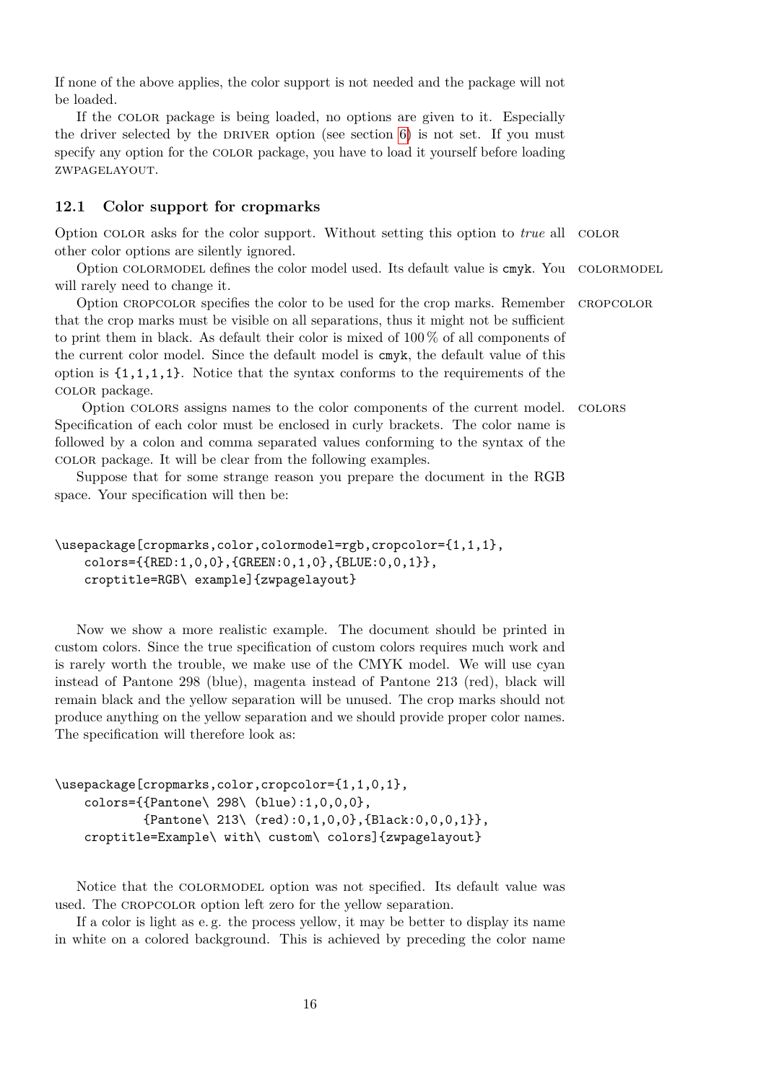If none of the above applies, the color support is not needed and the package will not be loaded.

If the color package is being loaded, no options are given to it. Especially the driver selected by the DRIVER option (see section  $6$ ) is not set. If you must specify any option for the color package, you have to load it yourself before loading zwpagelayout.

### <span id="page-15-0"></span>**12.1 Color support for cropmarks**

Option color asks for the color support. Without setting this option to *true* all color other color options are silently ignored.

Option COLORMODEL defines the color model used. Its default value is cmyk. You COLORMODEL will rarely need to change it.

Option cropcolor specifies the color to be used for the crop marks. Remember cropcolor that the crop marks must be visible on all separations, thus it might not be sufficient to print them in black. As default their color is mixed of 100 % of all components of the current color model. Since the default model is cmyk, the default value of this option is  $\{1,1,1,1\}$ . Notice that the syntax conforms to the requirements of the color package.

Option colors assigns names to the color components of the current model. colors Specification of each color must be enclosed in curly brackets. The color name is followed by a colon and comma separated values conforming to the syntax of the color package. It will be clear from the following examples.

Suppose that for some strange reason you prepare the document in the RGB space. Your specification will then be:

```
\usepackage[cropmarks,color,colormodel=rgb,cropcolor={1,1,1},
    colors={{RED:1,0,0},{GREEN:0,1,0},{BLUE:0,0,1}},
    croptitle=RGB\ example]{zwpagelayout}
```
Now we show a more realistic example. The document should be printed in custom colors. Since the true specification of custom colors requires much work and is rarely worth the trouble, we make use of the CMYK model. We will use cyan instead of Pantone 298 (blue), magenta instead of Pantone 213 (red), black will remain black and the yellow separation will be unused. The crop marks should not produce anything on the yellow separation and we should provide proper color names. The specification will therefore look as:

```
\usepackage[cropmarks,color,cropcolor={1,1,0,1},
    colors={{Pantone\ 298\ (blue):1,0,0,0},
            {Pantone\ 213\ (red):0,1,0,0},{Black:0,0,0,1}},
    croptitle=Example\ with\ custom\ colors]{zwpagelayout}
```
Notice that the colormodel option was not specified. Its default value was used. The CROPCOLOR option left zero for the yellow separation.

If a color is light as e. g. the process yellow, it may be better to display its name in white on a colored background. This is achieved by preceding the color name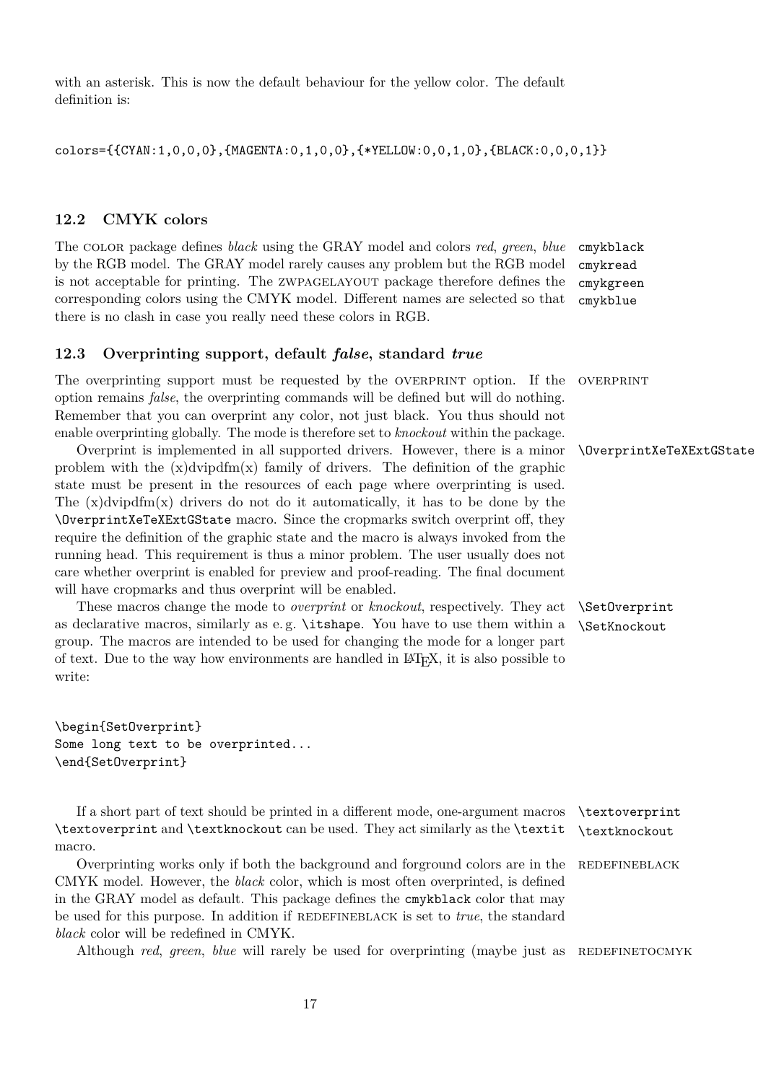with an asterisk. This is now the default behaviour for the yellow color. The default definition is:

colors={{CYAN:1,0,0,0},{MAGENTA:0,1,0,0},{\*YELLOW:0,0,1,0},{BLACK:0,0,0,1}}

### <span id="page-16-0"></span>**12.2 CMYK colors**

The color package defines *black* using the GRAY model and colors *red*, *green*, *blue* cmykblack cmykread cmykgreen cmykblue by the RGB model. The GRAY model rarely causes any problem but the RGB model is not acceptable for printing. The ZWPAGELAYOUT package therefore defines the corresponding colors using the CMYK model. Different names are selected so that there is no clash in case you really need these colors in RGB.

#### <span id="page-16-1"></span>**12.3 Overprinting support, default** *false***, standard** *true*

The overprinting support must be requested by the OVERPRINT option. If the OVERPRINT option remains *false*, the overprinting commands will be defined but will do nothing. Remember that you can overprint any color, not just black. You thus should not enable overprinting globally. The mode is therefore set to *knockout* within the package.

Overprint is implemented in all supported drivers. However, there is a minor \OverprintXeTeXExtGState problem with the  $(x)$ dvipdfm $(x)$  family of drivers. The definition of the graphic state must be present in the resources of each page where overprinting is used. The  $(x)$ dvipdfm $(x)$  drivers do not do it automatically, it has to be done by the \OverprintXeTeXExtGState macro. Since the cropmarks switch overprint off, they require the definition of the graphic state and the macro is always invoked from the running head. This requirement is thus a minor problem. The user usually does not care whether overprint is enabled for preview and proof-reading. The final document will have cropmarks and thus overprint will be enabled.

These macros change the mode to *overprint* or *knockout*, respectively. They act \SetOverprint as declarative macros, similarly as e.g. \itshape. You have to use them within a \SetKnockout group. The macros are intended to be used for changing the mode for a longer part of text. Due to the way how environments are handled in LATEX, it is also possible to write:

\begin{SetOverprint} Some long text to be overprinted... \end{SetOverprint}

If a short part of text should be printed in a different mode, one-argument macros \textoverprint \textoverprint and \textknockout can be used. They act similarly as the \textit \textknockout macro.

Overprinting works only if both the background and forground colors are in the REDEFINEBLACK CMYK model. However, the *black* color, which is most often overprinted, is defined in the GRAY model as default. This package defines the cmykblack color that may be used for this purpose. In addition if REDEFINEBLACK is set to *true*, the standard *black* color will be redefined in CMYK.

Although *red, green, blue* will rarely be used for overprinting (maybe just as REDEFINETOCMYK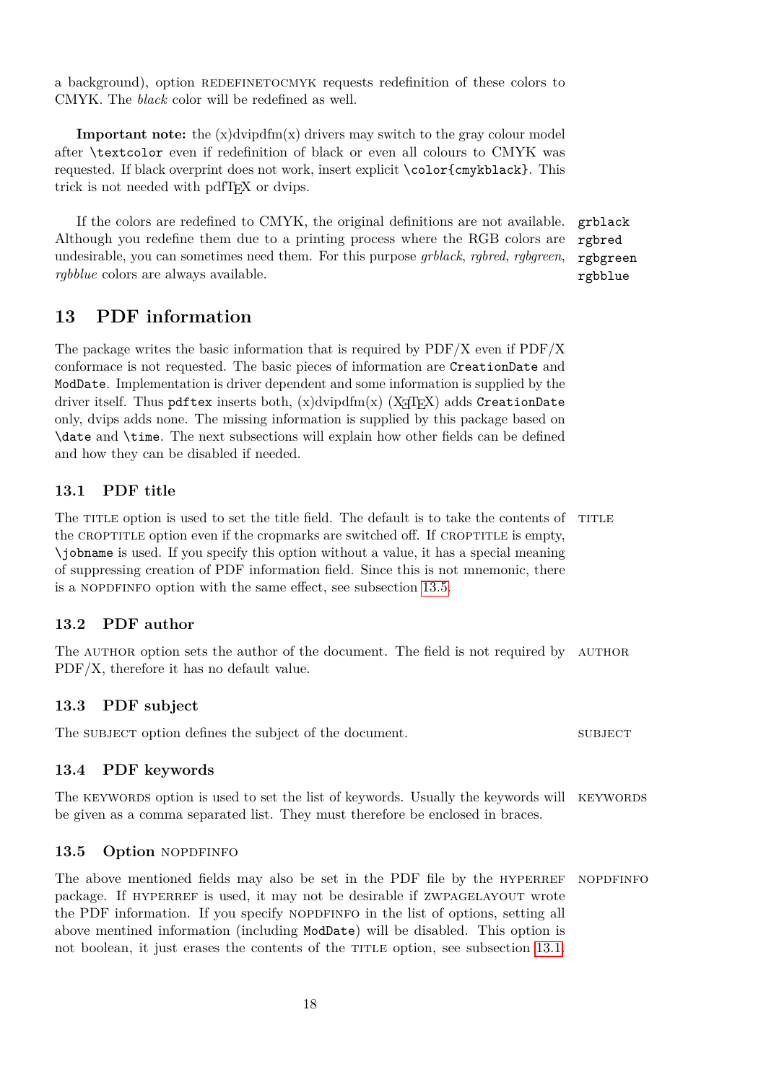a background), option REDEFINETOCMYK requests redefinition of these colors to CMYK. The *black* color will be redefined as well.

**Important note:** the  $(x)$  dvipdfm $(x)$  drivers may switch to the gray colour model after \textcolor even if redefinition of black or even all colours to CMYK was requested. If black overprint does not work, insert explicit \color{cmykblack}. This trick is not needed with pdfT<sub>E</sub>X or dvips.

If the colors are redefined to CMYK, the original definitions are not available. grblack Although you redefine them due to a printing process where the RGB colors are undesirable, you can sometimes need them. For this purpose *grblack*, *rgbred*, *rgbgreen*, *rgbblue* colors are always available.

# <span id="page-17-0"></span>**13 PDF information**

The package writes the basic information that is required by  $PDF/X$  even if  $PDF/X$ conformace is not requested. The basic pieces of information are CreationDate and ModDate. Implementation is driver dependent and some information is supplied by the driver itself. Thus pdftex inserts both,  $(x)$ dvipdfm $(x)$  (X $\pi$ T<sub>F</sub>X) adds CreationDate only, dvips adds none. The missing information is supplied by this package based on \date and \time. The next subsections will explain how other fields can be defined and how they can be disabled if needed.

### <span id="page-17-1"></span>**13.1 PDF title**

The TITLE option is used to set the title field. The default is to take the contents of TITLE the CROPTITLE option even if the cropmarks are switched off. If CROPTITLE is empty, \jobname is used. If you specify this option without a value, it has a special meaning of suppressing creation of PDF information field. Since this is not mnemonic, there is a NOPDFINFO option with the same effect, see subsection [13.5.](#page-17-5)

### <span id="page-17-2"></span>**13.2 PDF author**

The AUTHOR option sets the author of the document. The field is not required by AUTHOR PDF/X, therefore it has no default value.

### <span id="page-17-3"></span>**13.3 PDF subject**

The subject option defines the subject of the document. SUBJECT

### <span id="page-17-4"></span>**13.4 PDF keywords**

The KEYWORDS option is used to set the list of keywords. Usually the keywords will KEYWORDS be given as a comma separated list. They must therefore be enclosed in braces.

### <span id="page-17-5"></span>13.5 Option NOPDFINFO

The above mentioned fields may also be set in the PDF file by the HYPERREF NOPDFINFO package. If HYPERREF is used, it may not be desirable if ZWPAGELAYOUT wrote the PDF information. If you specify NOPDFINFO in the list of options, setting all above mentined information (including ModDate) will be disabled. This option is not boolean, it just erases the contents of the TITLE option, see subsection [13.1.](#page-17-1)

rgbred rgbgreen rgbblue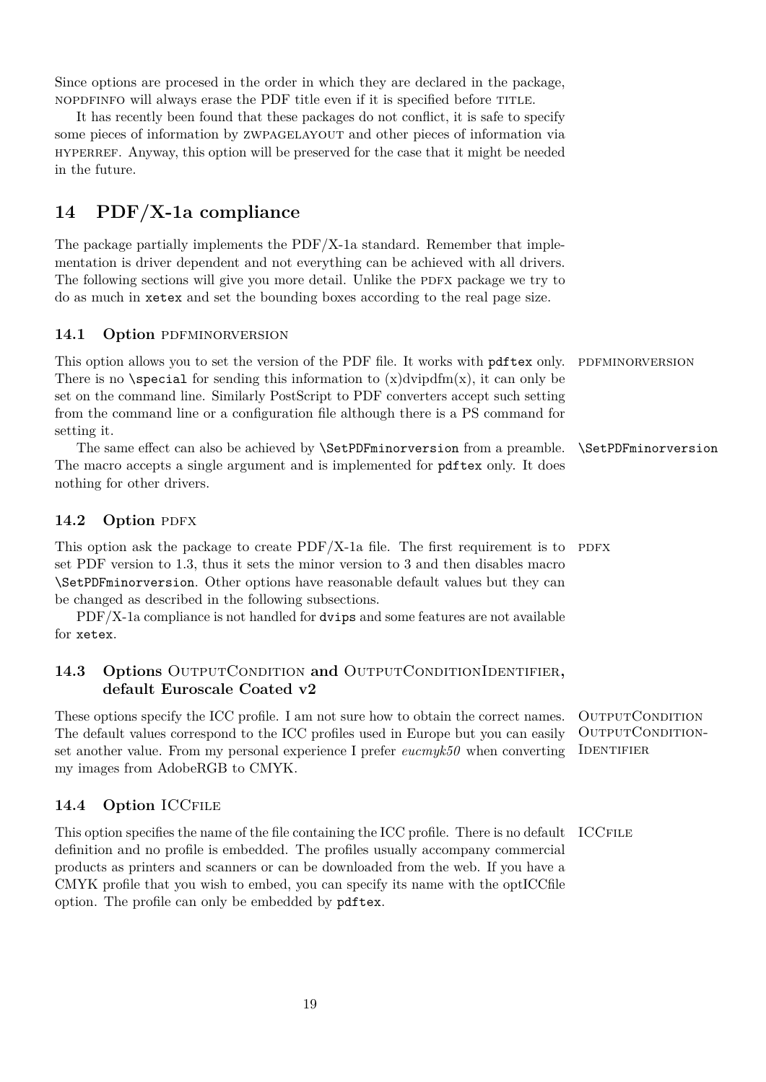Since options are procesed in the order in which they are declared in the package, nopdfinfo will always erase the PDF title even if it is specified before title.

It has recently been found that these packages do not conflict, it is safe to specify some pieces of information by zwpagelayout and other pieces of information via hyperref. Anyway, this option will be preserved for the case that it might be needed in the future.

# <span id="page-18-0"></span>**14 PDF/X-1a compliance**

The package partially implements the PDF/X-1a standard. Remember that implementation is driver dependent and not everything can be achieved with all drivers. The following sections will give you more detail. Unlike the PDFX package we try to do as much in xetex and set the bounding boxes according to the real page size.

### <span id="page-18-1"></span>14.1 Option PDFMINORVERSION

This option allows you to set the version of the PDF file. It works with pdftex only. PDFMINORVERSION There is no \special for sending this information to  $(x)$ dvipdfm $(x)$ , it can only be set on the command line. Similarly PostScript to PDF converters accept such setting from the command line or a configuration file although there is a PS command for setting it.

The same effect can also be achieved by \SetPDFminorversion from a preamble. \SetPDFminorversion The macro accepts a single argument and is implemented for pdftex only. It does nothing for other drivers.

### <span id="page-18-2"></span>14.2 Option PDFX

This option ask the package to create  $PDF/X-1$ a file. The first requirement is to PDFX set PDF version to 1.3, thus it sets the minor version to 3 and then disables macro \SetPDFminorversion. Other options have reasonable default values but they can be changed as described in the following subsections.

PDF/X-1a compliance is not handled for dvips and some features are not available for xetex.

### <span id="page-18-3"></span>**14.3 Options** OutputCondition **and** OutputConditionIdentifier**, default Euroscale Coated v2**

These options specify the ICC profile. I am not sure how to obtain the correct names. OUTPUTCONDITION OUTPUTCONDITIONset another value. From my personal experience I prefer *eucmyk50* when converting IDENTIFIER The default values correspond to the ICC profiles used in Europe but you can easily my images from AdobeRGB to CMYK.

### <span id="page-18-4"></span>**14.4 Option** ICCfile

This option specifies the name of the file containing the ICC profile. There is no default ICCFILE definition and no profile is embedded. The profiles usually accompany commercial products as printers and scanners or can be downloaded from the web. If you have a CMYK profile that you wish to embed, you can specify its name with the optICCfile option. The profile can only be embedded by pdftex.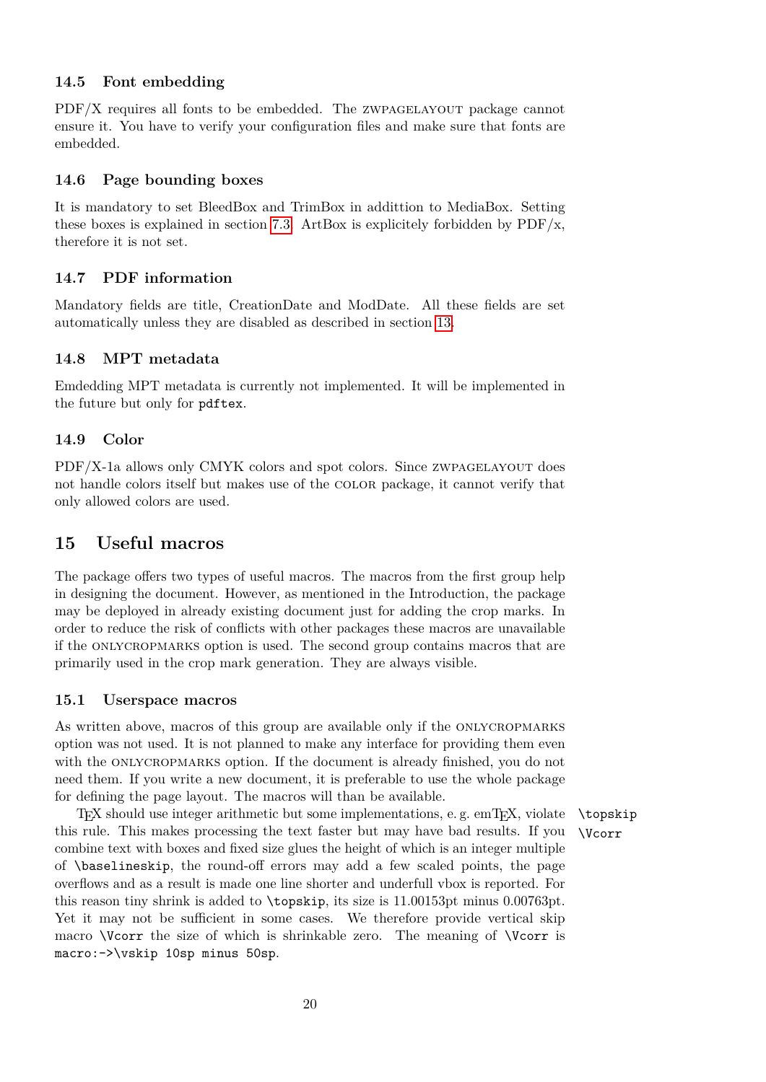### <span id="page-19-0"></span>**14.5 Font embedding**

 $PDF/X$  requires all fonts to be embedded. The ZWPAGELAYOUT package cannot ensure it. You have to verify your configuration files and make sure that fonts are embedded.

### <span id="page-19-1"></span>**14.6 Page bounding boxes**

It is mandatory to set BleedBox and TrimBox in addittion to MediaBox. Setting these boxes is explained in section [7.3.](#page-6-0) ArtBox is explicitely forbidden by  $PDF/x$ , therefore it is not set.

### <span id="page-19-2"></span>**14.7 PDF information**

Mandatory fields are title, CreationDate and ModDate. All these fields are set automatically unless they are disabled as described in section [13.](#page-17-0)

### <span id="page-19-3"></span>**14.8 MPT metadata**

Emdedding MPT metadata is currently not implemented. It will be implemented in the future but only for pdftex.

### <span id="page-19-4"></span>**14.9 Color**

PDF/X-1a allows only CMYK colors and spot colors. Since zwpagelayout does not handle colors itself but makes use of the color package, it cannot verify that only allowed colors are used.

# <span id="page-19-5"></span>**15 Useful macros**

The package offers two types of useful macros. The macros from the first group help in designing the document. However, as mentioned in the Introduction, the package may be deployed in already existing document just for adding the crop marks. In order to reduce the risk of conflicts with other packages these macros are unavailable if the onlycropmarks option is used. The second group contains macros that are primarily used in the crop mark generation. They are always visible.

#### <span id="page-19-6"></span>**15.1 Userspace macros**

As written above, macros of this group are available only if the onlycropmarks option was not used. It is not planned to make any interface for providing them even with the ONLYCROPMARKS option. If the document is already finished, you do not need them. If you write a new document, it is preferable to use the whole package for defining the page layout. The macros will than be available.

TEX should use integer arithmetic but some implementations, e.g.  $emTrX$ , violate \topskip this rule. This makes processing the text faster but may have bad results. If you \Vcorr combine text with boxes and fixed size glues the height of which is an integer multiple of \baselineskip, the round-off errors may add a few scaled points, the page overflows and as a result is made one line shorter and underfull vbox is reported. For this reason tiny shrink is added to \topskip, its size is 11.00153pt minus 0.00763pt. Yet it may not be sufficient in some cases. We therefore provide vertical skip macro \Vcorr the size of which is shrinkable zero. The meaning of \Vcorr is macro:->\vskip 10sp minus 50sp.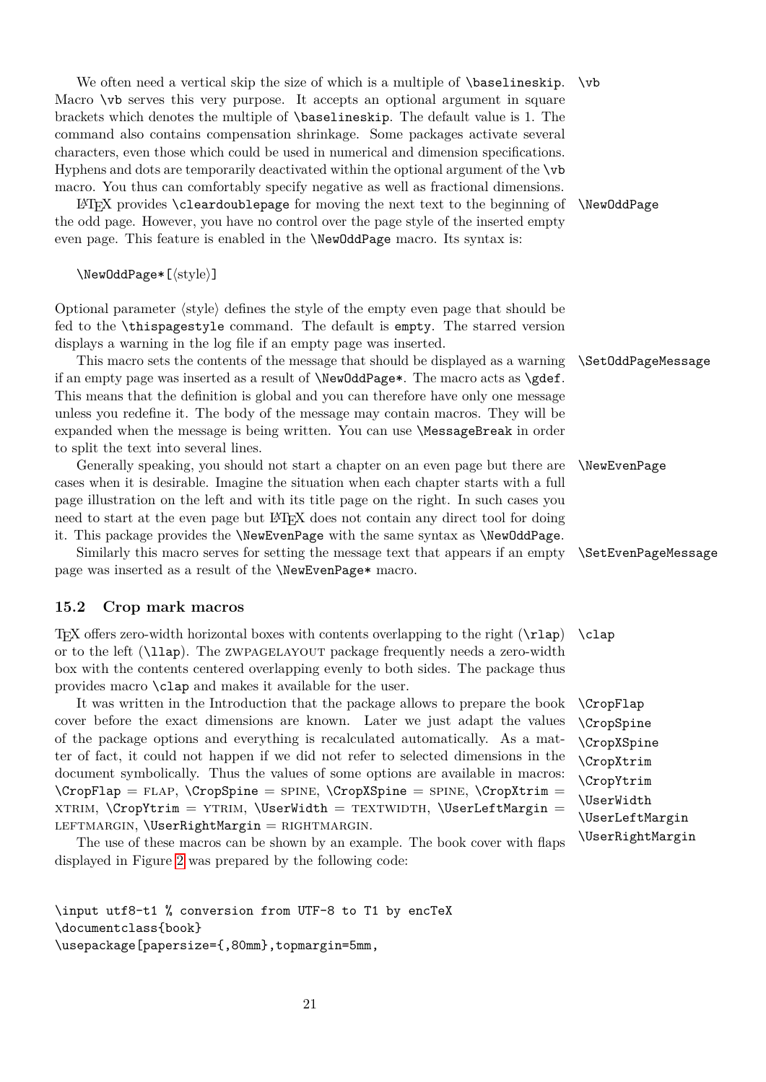We often need a vertical skip the size of which is a multiple of  $\bar{\theta}$ . Macro  $\nabla$  b serves this very purpose. It accepts an optional argument in square brackets which denotes the multiple of \baselineskip. The default value is 1. The command also contains compensation shrinkage. Some packages activate several characters, even those which could be used in numerical and dimension specifications. Hyphens and dots are temporarily deactivated within the optional argument of the \vb macro. You thus can comfortably specify negative as well as fractional dimensions.

LATEX provides \cleardoublepage for moving the next text to the beginning of \NewOddPage the odd page. However, you have no control over the page style of the inserted empty even page. This feature is enabled in the \NewOddPage macro. Its syntax is:

\NewOddPage\*[⟨style⟩]

Optional parameter ⟨style⟩ defines the style of the empty even page that should be fed to the \thispagestyle command. The default is empty. The starred version displays a warning in the log file if an empty page was inserted.

This macro sets the contents of the message that should be displayed as a warning \SetOddPageMessage if an empty page was inserted as a result of  $\W$ ewOddPage\*. The macro acts as  $\get$ . This means that the definition is global and you can therefore have only one message unless you redefine it. The body of the message may contain macros. They will be expanded when the message is being written. You can use \MessageBreak in order to split the text into several lines.

Generally speaking, you should not start a chapter on an even page but there are \NewEvenPage cases when it is desirable. Imagine the situation when each chapter starts with a full page illustration on the left and with its title page on the right. In such cases you need to start at the even page but LATEX does not contain any direct tool for doing it. This package provides the \NewEvenPage with the same syntax as \NewOddPage.

Similarly this macro serves for setting the message text that appears if an empty \SetEvenPageMessage page was inserted as a result of the \NewEvenPage\* macro.

#### <span id="page-20-0"></span>**15.2 Crop mark macros**

T<sub>EX</sub> offers zero-width horizontal boxes with contents overlapping to the right  $(\tau)$  (clap) or to the left (\llap). The zwpagelayout package frequently needs a zero-width box with the contents centered overlapping evenly to both sides. The package thus provides macro \clap and makes it available for the user.

It was written in the Introduction that the package allows to prepare the book \CropFlap cover before the exact dimensions are known. Later we just adapt the values of the package options and everything is recalculated automatically. As a matter of fact, it could not happen if we did not refer to selected dimensions in the document symbolically. Thus the values of some options are available in macros:  $\CropFlap = FLAP, \CropSpine = SPINE, \CropXSpine = SPINE, \CropXtrim =$  $XTRIM, \CropYtrim = YTRIM, \text{UserWidth} = TEXTWIDTH, \text{UserLeftMargin}$ LEFTMARGIN,  $\text{UserRightMargin} = \text{RIGHTMARGIN}.$ 

The use of these macros can be shown by an example. The book cover with flaps displayed in Figure [2](#page-22-0) was prepared by the following code:

\input utf8-t1 % conversion from UTF-8 to T1 by encTeX \documentclass{book} \usepackage[papersize={,80mm},topmargin=5mm,

\CropSpine \CropXSpine \CropXtrim \CropYtrim \UserWidth \UserLeftMargin \UserRightMargin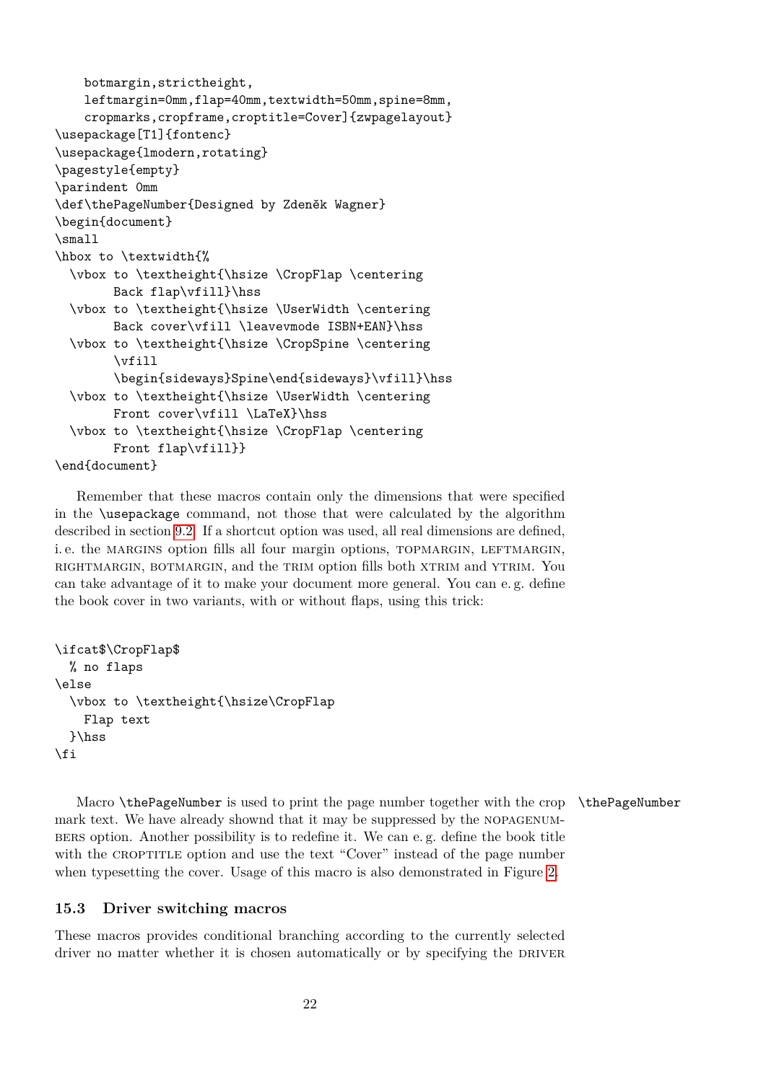```
botmargin,strictheight,
    leftmargin=0mm,flap=40mm,textwidth=50mm,spine=8mm,
    cropmarks,cropframe,croptitle=Cover]{zwpagelayout}
\usepackage[T1]{fontenc}
\usepackage{lmodern,rotating}
\pagestyle{empty}
\parindent 0mm
\def\thePageNumber{Designed by Zdeněk Wagner}
\begin{document}
\small
\hbox to \textwidth{%
  \vbox to \textheight{\hsize \CropFlap \centering
       Back flap\vfill}\hss
 \vbox to \textheight{\hsize \UserWidth \centering
       Back cover\vfill \leavevmode ISBN+EAN}\hss
 \vbox to \textheight{\hsize \CropSpine \centering
        \sqrt{v}ill
        \begin{sideways}Spine\end{sideways}\vfill}\hss
 \vbox to \textheight{\hsize \UserWidth \centering
       Front cover\vfill \LaTeX}\hss
 \vbox to \textheight{\hsize \CropFlap \centering
       Front flap\vfill}}
```

```
\end{document}
```
Remember that these macros contain only the dimensions that were specified in the \usepackage command, not those that were calculated by the algorithm described in section [9.2.](#page-10-0) If a shortcut option was used, all real dimensions are defined, i.e. the MARGINS option fills all four margin options, TOPMARGIN, LEFTMARGIN, rightmargin, botmargin, and the trim option fills both xtrim and ytrim. You can take advantage of it to make your document more general. You can e. g. define the book cover in two variants, with or without flaps, using this trick:

```
\ifcat$\CropFlap$
  % no flaps
\else
  \vbox to \textheight{\hsize\CropFlap
    Flap text
  }\hss
\fi
```
Macro \thePageNumber is used to print the page number together with the crop \thePageNumber mark text. We have already shownd that it may be suppressed by the nopagenumbers option. Another possibility is to redefine it. We can e. g. define the book title with the CROPTITLE option and use the text "Cover" instead of the page number when typesetting the cover. Usage of this macro is also demonstrated in Figure [2.](#page-22-0)

#### <span id="page-21-0"></span>**15.3 Driver switching macros**

These macros provides conditional branching according to the currently selected driver no matter whether it is chosen automatically or by specifying the DRIVER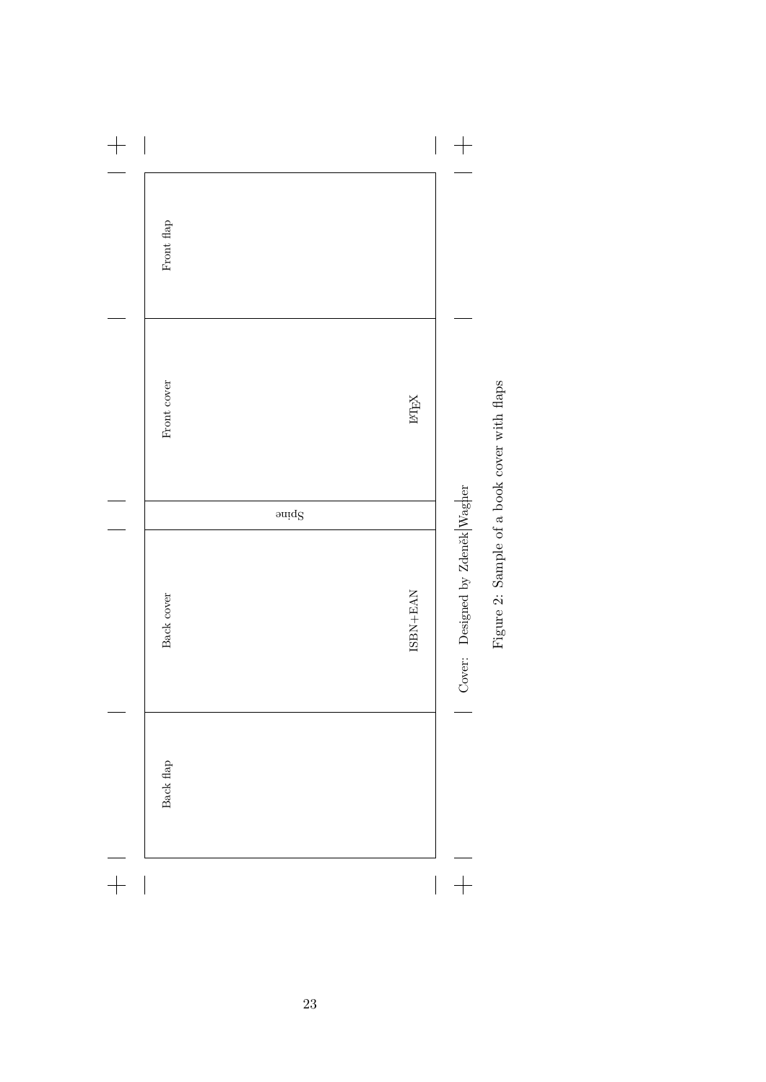<span id="page-22-0"></span>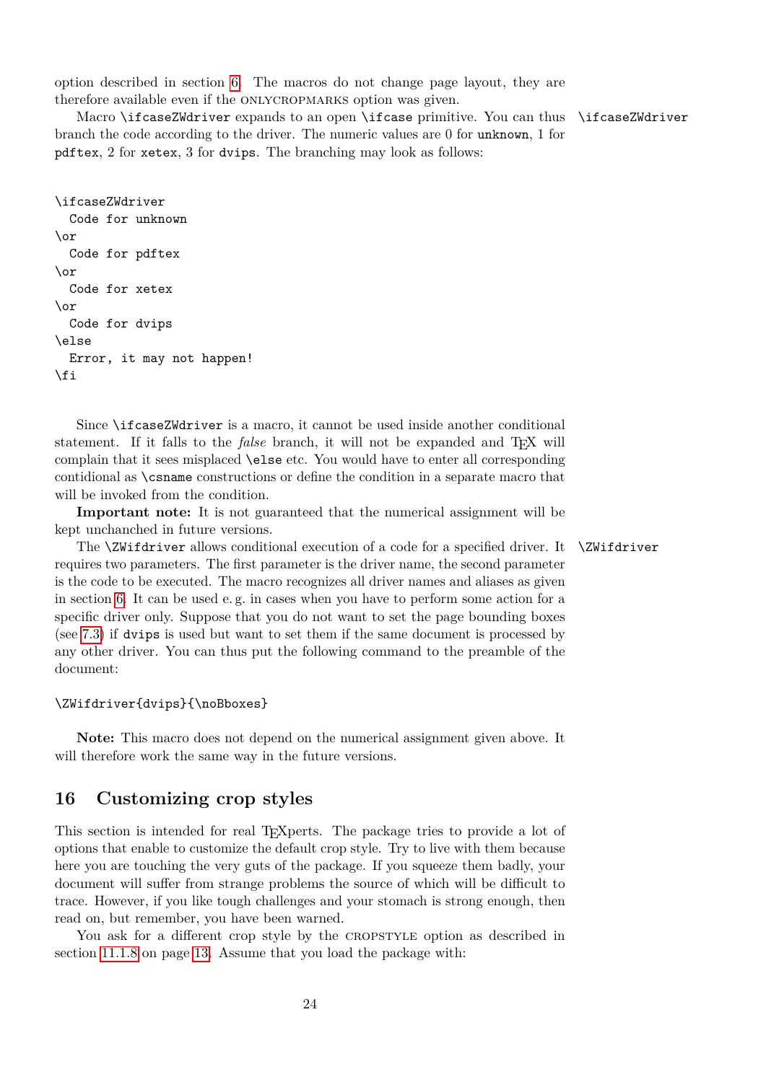option described in section [6.](#page-4-1) The macros do not change page layout, they are therefore available even if the ONLYCROPMARKS option was given.

Macro \ifcaseZWdriver expands to an open \ifcase primitive. You can thus \ifcaseZWdriver branch the code according to the driver. The numeric values are 0 for unknown, 1 for pdftex, 2 for xetex, 3 for dvips. The branching may look as follows:

```
\ifcaseZWdriver
  Code for unknown
\or
  Code for pdftex
\or
  Code for xetex
\chi_{\alpha r}Code for dvips
\else
  Error, it may not happen!
\fi
```
Since \ifcaseZWdriver is a macro, it cannot be used inside another conditional statement. If it falls to the *false* branch, it will not be expanded and TEX will complain that it sees misplaced \else etc. You would have to enter all corresponding contidional as \csname constructions or define the condition in a separate macro that will be invoked from the condition.

**Important note:** It is not guaranteed that the numerical assignment will be kept unchanched in future versions.

The  $\ZW$ ifdriver allows conditional execution of a code for a specified driver. It  $\ZW$ ifdriver requires two parameters. The first parameter is the driver name, the second parameter is the code to be executed. The macro recognizes all driver names and aliases as given in section [6.](#page-4-1) It can be used e. g. in cases when you have to perform some action for a specific driver only. Suppose that you do not want to set the page bounding boxes (see [7.3\)](#page-6-0) if dvips is used but want to set them if the same document is processed by any other driver. You can thus put the following command to the preamble of the document:

#### \ZWifdriver{dvips}{\noBboxes}

**Note:** This macro does not depend on the numerical assignment given above. It will therefore work the same way in the future versions.

### <span id="page-23-0"></span>**16 Customizing crop styles**

This section is intended for real T<sub>E</sub>Xperts. The package tries to provide a lot of options that enable to customize the default crop style. Try to live with them because here you are touching the very guts of the package. If you squeeze them badly, your document will suffer from strange problems the source of which will be difficult to trace. However, if you like tough challenges and your stomach is strong enough, then read on, but remember, you have been warned.

You ask for a different crop style by the CROPSTYLE option as described in section [11.1.8](#page-12-2) on page [13.](#page-12-2) Assume that you load the package with: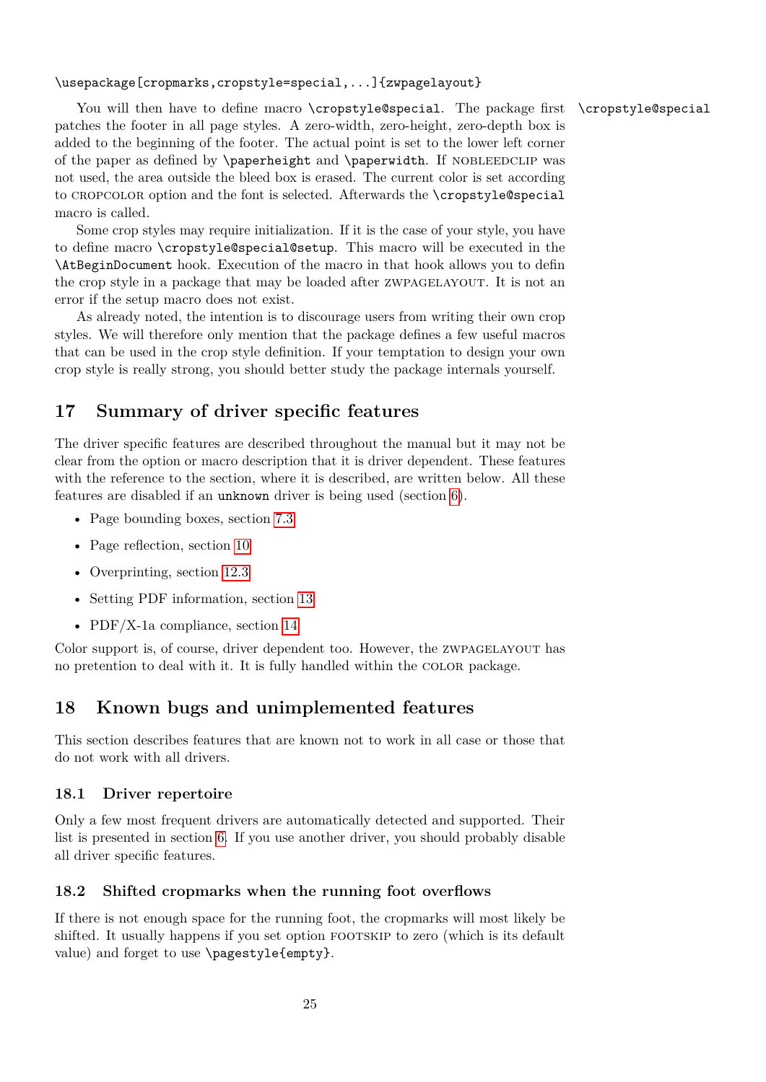\usepackage[cropmarks,cropstyle=special,...]{zwpagelayout}

You will then have to define macro \cropstyle@special. The package first \cropstyle@special patches the footer in all page styles. A zero-width, zero-height, zero-depth box is added to the beginning of the footer. The actual point is set to the lower left corner of the paper as defined by \paperheight and \paperwidth. If NOBLEEDCLIP was not used, the area outside the bleed box is erased. The current color is set according to cropcolor option and the font is selected. Afterwards the \cropstyle@special macro is called.

Some crop styles may require initialization. If it is the case of your style, you have to define macro \cropstyle@special@setup. This macro will be executed in the \AtBeginDocument hook. Execution of the macro in that hook allows you to defin the crop style in a package that may be loaded after zwpagelayout. It is not an error if the setup macro does not exist.

As already noted, the intention is to discourage users from writing their own crop styles. We will therefore only mention that the package defines a few useful macros that can be used in the crop style definition. If your temptation to design your own crop style is really strong, you should better study the package internals yourself.

# <span id="page-24-0"></span>**17 Summary of driver specific features**

The driver specific features are described throughout the manual but it may not be clear from the option or macro description that it is driver dependent. These features with the reference to the section, where it is described, are written below. All these features are disabled if an unknown driver is being used (section [6\)](#page-4-1).

- Page bounding boxes, section [7.3](#page-6-0)
- Page reflection, section [10](#page-10-3)
- Overprinting, section [12.3](#page-16-1)
- Setting PDF information, section [13](#page-17-0)
- PDF/X-1a compliance, section [14](#page-18-0)

Color support is, of course, driver dependent too. However, the zwpagelayout has no pretention to deal with it. It is fully handled within the color package.

# <span id="page-24-1"></span>**18 Known bugs and unimplemented features**

This section describes features that are known not to work in all case or those that do not work with all drivers.

### <span id="page-24-2"></span>**18.1 Driver repertoire**

Only a few most frequent drivers are automatically detected and supported. Their list is presented in section [6.](#page-4-1) If you use another driver, you should probably disable all driver specific features.

### <span id="page-24-3"></span>**18.2 Shifted cropmarks when the running foot overflows**

If there is not enough space for the running foot, the cropmarks will most likely be shifted. It usually happens if you set option FOOTSKIP to zero (which is its default value) and forget to use \pagestyle{empty}.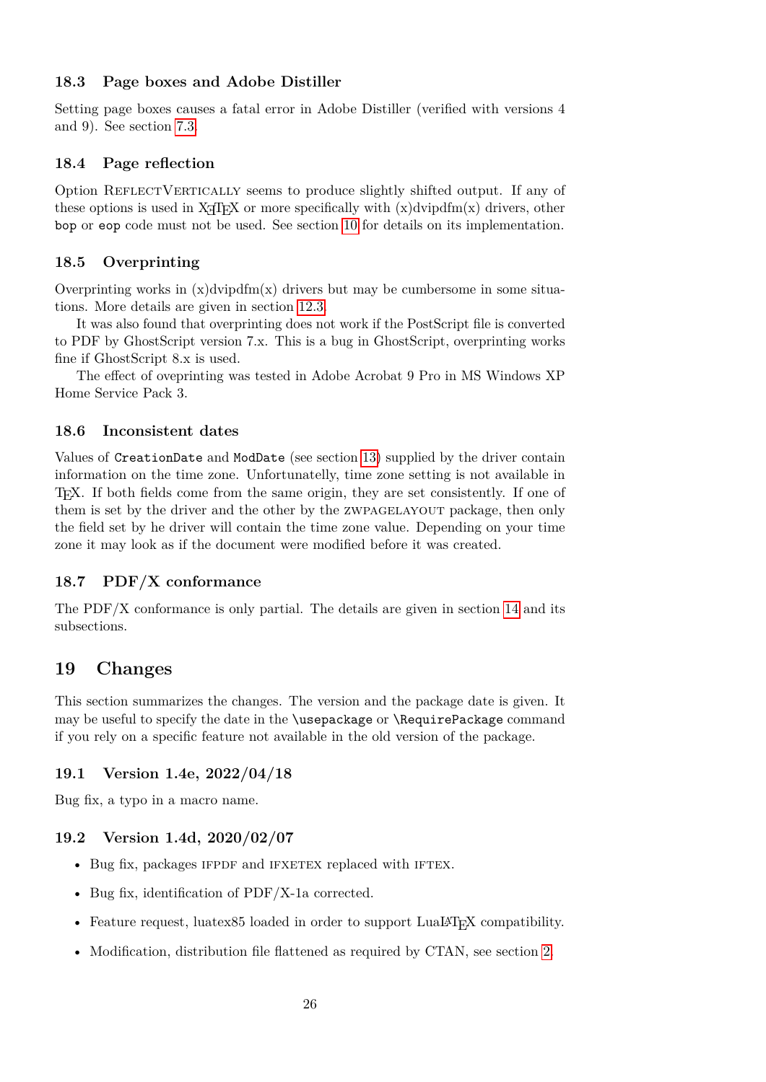### <span id="page-25-0"></span>**18.3 Page boxes and Adobe Distiller**

Setting page boxes causes a fatal error in Adobe Distiller (verified with versions 4 and 9). See section [7.3.](#page-6-0)

### <span id="page-25-1"></span>**18.4 Page reflection**

Option REFLECTVERTICALLY seems to produce slightly shifted output. If any of these options is used in  $X \oplus Y$  or more specifically with  $(x)$ dvipdfm $(x)$  drivers, other bop or eop code must not be used. See section [10](#page-10-3) for details on its implementation.

### <span id="page-25-2"></span>**18.5 Overprinting**

Overprinting works in  $(x)$ dvipdfm $(x)$  drivers but may be cumbersome in some situations. More details are given in section [12.3.](#page-16-1)

It was also found that overprinting does not work if the PostScript file is converted to PDF by GhostScript version 7.x. This is a bug in GhostScript, overprinting works fine if GhostScript 8.x is used.

The effect of oveprinting was tested in Adobe Acrobat 9 Pro in MS Windows XP Home Service Pack 3.

### <span id="page-25-3"></span>**18.6 Inconsistent dates**

Values of CreationDate and ModDate (see section [13\)](#page-17-0) supplied by the driver contain information on the time zone. Unfortunatelly, time zone setting is not available in TEX. If both fields come from the same origin, they are set consistently. If one of them is set by the driver and the other by the ZWPAGELAYOUT package, then only the field set by he driver will contain the time zone value. Depending on your time zone it may look as if the document were modified before it was created.

### <span id="page-25-4"></span>**18.7 PDF/X conformance**

The  $PDF/X$  conformance is only partial. The details are given in section [14](#page-18-0) and its subsections.

## <span id="page-25-5"></span>**19 Changes**

This section summarizes the changes. The version and the package date is given. It may be useful to specify the date in the \usepackage or \RequirePackage command if you rely on a specific feature not available in the old version of the package.

#### <span id="page-25-6"></span>**19.1 Version 1.4e, 2022/04/18**

Bug fix, a typo in a macro name.

### <span id="page-25-7"></span>**19.2 Version 1.4d, 2020/02/07**

- Bug fix, packages IFPDF and IFXETEX replaced with IFTEX.
- Bug fix, identification of PDF/X-1a corrected.
- Feature request, luatex85 loaded in order to support LuaLAT<sub>EX</sub> compatibility.
- Modification, distribution file flattened as required by CTAN, see section [2.](#page-3-0)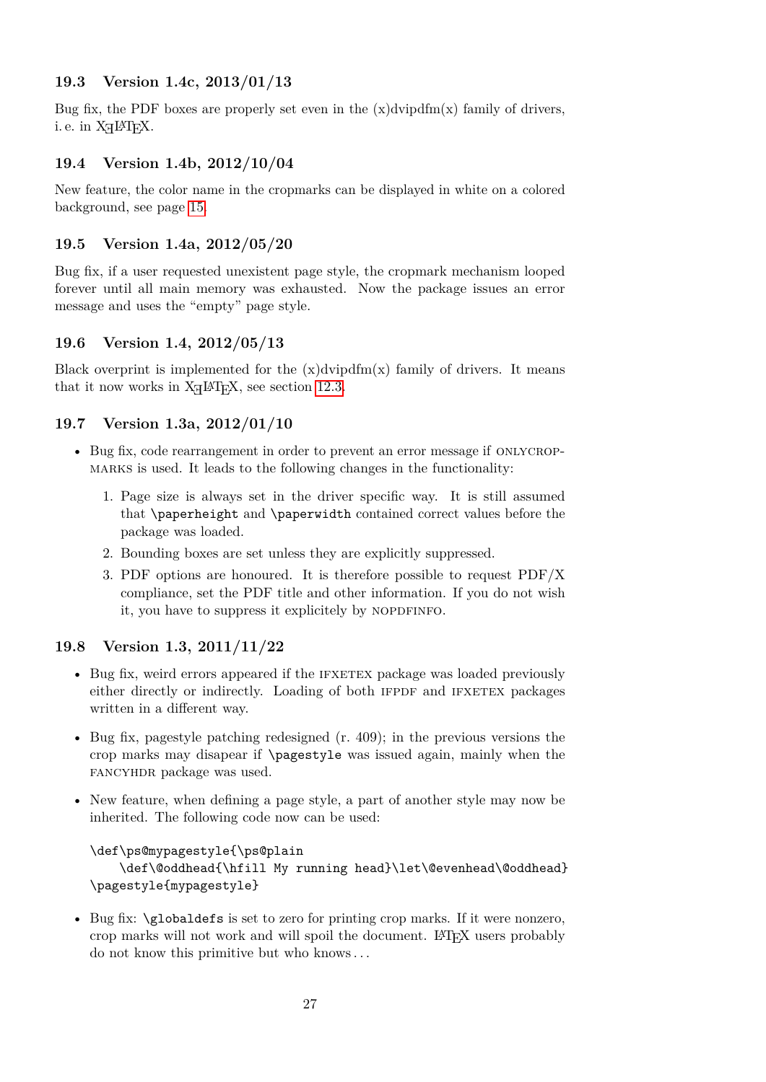### <span id="page-26-0"></span>**19.3 Version 1.4c, 2013/01/13**

Bug fix, the PDF boxes are properly set even in the  $(x)$ dvipdfm $(x)$  family of drivers, i. e. in  $X \nexists F X$ .

### <span id="page-26-1"></span>**19.4 Version 1.4b, 2012/10/04**

New feature, the color name in the cropmarks can be displayed in white on a colored background, see page [15.](#page-14-1)

### <span id="page-26-2"></span>**19.5 Version 1.4a, 2012/05/20**

Bug fix, if a user requested unexistent page style, the cropmark mechanism looped forever until all main memory was exhausted. Now the package issues an error message and uses the "empty" page style.

### <span id="page-26-3"></span>**19.6 Version 1.4, 2012/05/13**

Black overprint is implemented for the  $(x)$ dvipdfm $(x)$  family of drivers. It means that it now works in  $X \not\subset F$ . see section [12.3.](#page-16-1)

### <span id="page-26-4"></span>**19.7 Version 1.3a, 2012/01/10**

- Bug fix, code rearrangement in order to prevent an error message if ONLYCROPmarks is used. It leads to the following changes in the functionality:
	- 1. Page size is always set in the driver specific way. It is still assumed that \paperheight and \paperwidth contained correct values before the package was loaded.
	- 2. Bounding boxes are set unless they are explicitly suppressed.
	- 3. PDF options are honoured. It is therefore possible to request PDF/X compliance, set the PDF title and other information. If you do not wish it, you have to suppress it explicitely by NOPDFINFO.

### <span id="page-26-5"></span>**19.8 Version 1.3, 2011/11/22**

- Bug fix, weird errors appeared if the IFXETEX package was loaded previously either directly or indirectly. Loading of both IFPDF and IFXETEX packages written in a different way.
- Bug fix, pagestyle patching redesigned (r. 409); in the previous versions the crop marks may disapear if \pagestyle was issued again, mainly when the fancyhdr package was used.
- New feature, when defining a page style, a part of another style may now be inherited. The following code now can be used:

```
\def\ps@mypagestyle{\ps@plain
    \def\@oddhead{\hfill My running head}\let\@evenhead\@oddhead}
\pagestyle{mypagestyle}
```
• Bug fix: \globaldefs is set to zero for printing crop marks. If it were nonzero, crop marks will not work and will spoil the document. LATEX users probably do not know this primitive but who knows . . .